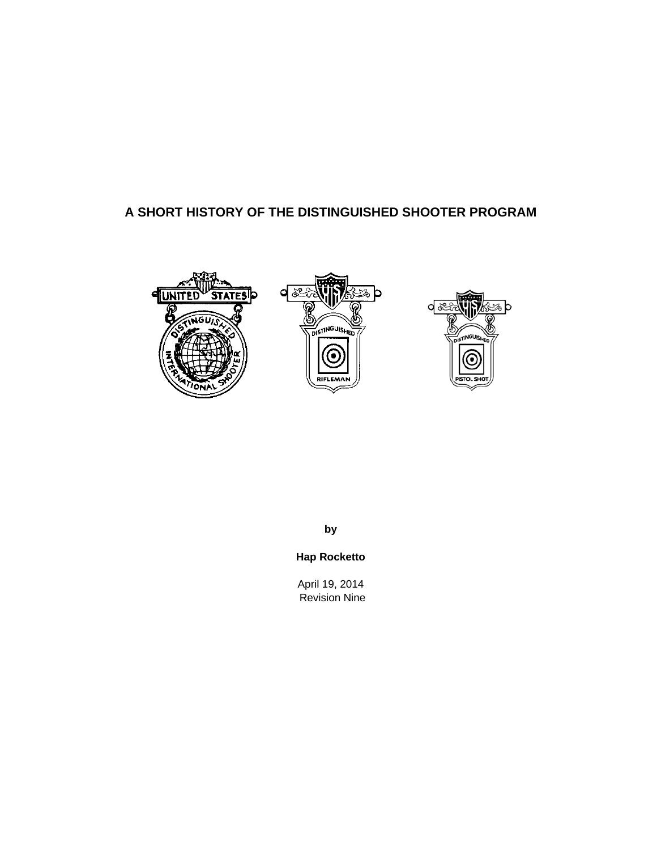# **A SHORT HISTORY OF THE DISTINGUISHED SHOOTER PROGRAM**







**by** 

**Hap Rocketto** 

April 19, 2014 Revision Nine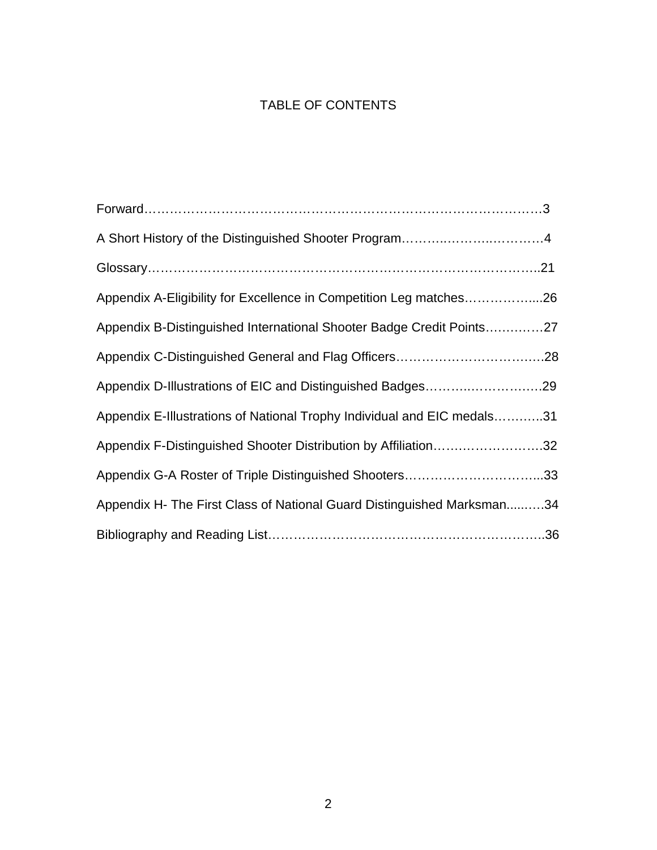# TABLE OF CONTENTS

| Appendix A-Eligibility for Excellence in Competition Leg matches26      |
|-------------------------------------------------------------------------|
| Appendix B-Distinguished International Shooter Badge Credit Points27    |
|                                                                         |
| Appendix D-Illustrations of EIC and Distinguished Badges29              |
| Appendix E-Illustrations of National Trophy Individual and EIC medals31 |
| Appendix F-Distinguished Shooter Distribution by Affiliation32          |
| Appendix G-A Roster of Triple Distinguished Shooters33                  |
| Appendix H- The First Class of National Guard Distinguished Marksman34  |
|                                                                         |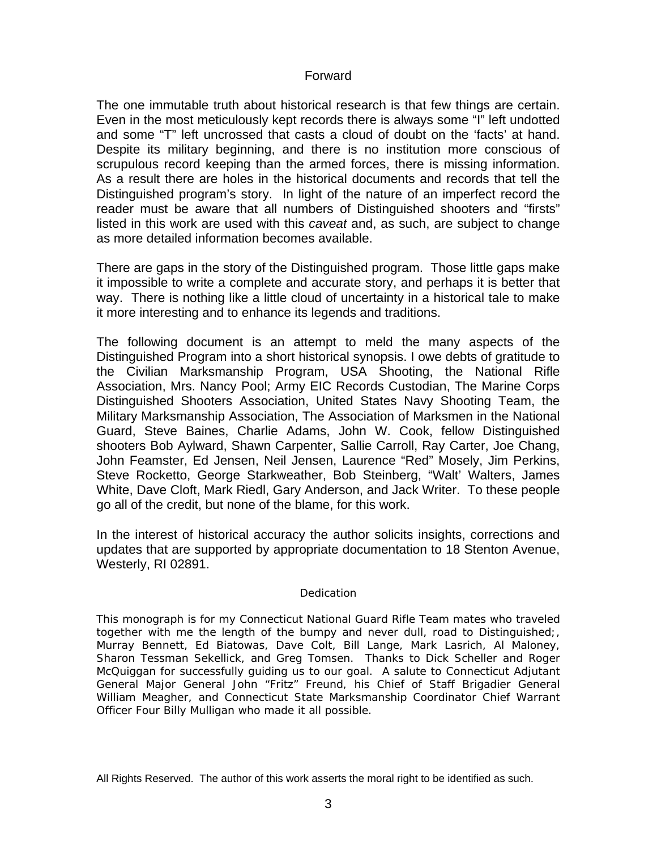## Forward

The one immutable truth about historical research is that few things are certain. Even in the most meticulously kept records there is always some "I" left undotted and some "T" left uncrossed that casts a cloud of doubt on the 'facts' at hand. Despite its military beginning, and there is no institution more conscious of scrupulous record keeping than the armed forces, there is missing information. As a result there are holes in the historical documents and records that tell the Distinguished program's story. In light of the nature of an imperfect record the reader must be aware that all numbers of Distinguished shooters and "firsts" listed in this work are used with this *caveat* and, as such, are subject to change as more detailed information becomes available.

There are gaps in the story of the Distinguished program. Those little gaps make it impossible to write a complete and accurate story, and perhaps it is better that way. There is nothing like a little cloud of uncertainty in a historical tale to make it more interesting and to enhance its legends and traditions.

The following document is an attempt to meld the many aspects of the Distinguished Program into a short historical synopsis. I owe debts of gratitude to the Civilian Marksmanship Program, USA Shooting, the National Rifle Association, Mrs. Nancy Pool; Army EIC Records Custodian, The Marine Corps Distinguished Shooters Association, United States Navy Shooting Team, the Military Marksmanship Association, The Association of Marksmen in the National Guard, Steve Baines, Charlie Adams, John W. Cook, fellow Distinguished shooters Bob Aylward, Shawn Carpenter, Sallie Carroll, Ray Carter, Joe Chang, John Feamster, Ed Jensen, Neil Jensen, Laurence "Red" Mosely, Jim Perkins, Steve Rocketto, George Starkweather, Bob Steinberg, "Walt' Walters, James White, Dave Cloft, Mark Riedl, Gary Anderson, and Jack Writer. To these people go all of the credit, but none of the blame, for this work.

In the interest of historical accuracy the author solicits insights, corrections and updates that are supported by appropriate documentation to 18 Stenton Avenue, Westerly, RI 02891.

## *Dedication*

*This monograph is for my Connecticut National Guard Rifle Team mates who traveled together with me the length of the bumpy and never dull, road to Distinguished;, Murray Bennett, Ed Biatowas, Dave Colt, Bill Lange, Mark Lasrich, Al Maloney, Sharon Tessman Sekellick, and Greg Tomsen. Thanks to Dick Scheller and Roger McQuiggan for successfully guiding us to our goal. A salute to Connecticut Adjutant General Major General John "Fritz" Freund, his Chief of Staff Brigadier General William Meagher, and Connecticut State Marksmanship Coordinator Chief Warrant Officer Four Billy Mulligan who made it all possible.* 

All Rights Reserved. The author of this work asserts the moral right to be identified as such.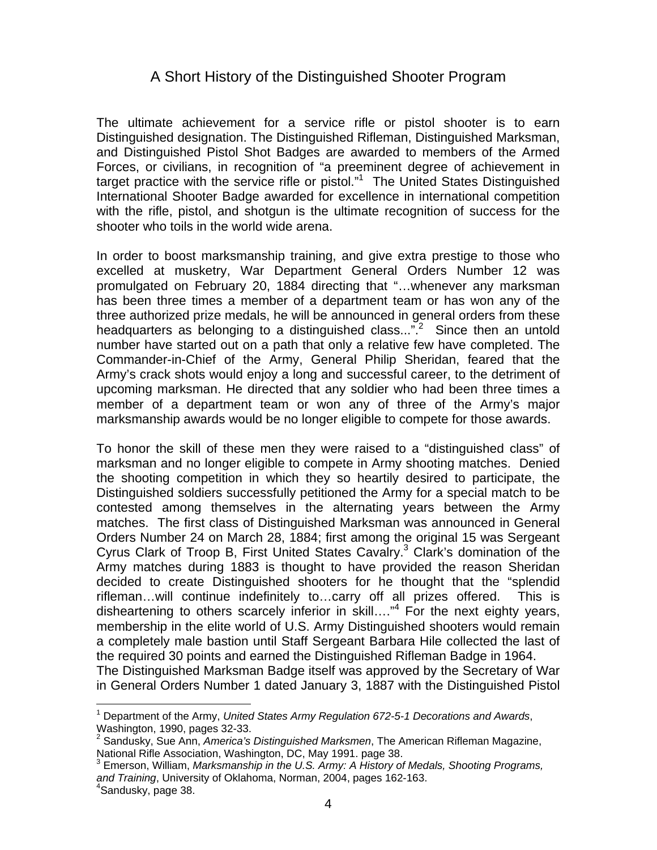# A Short History of the Distinguished Shooter Program

The ultimate achievement for a service rifle or pistol shooter is to earn Distinguished designation. The Distinguished Rifleman, Distinguished Marksman, and Distinguished Pistol Shot Badges are awarded to members of the Armed Forces, or civilians, in recognition of "a preeminent degree of achievement in target practice with the service rifle or pistol."<sup>1</sup> The United States Distinguished International Shooter Badge awarded for excellence in international competition with the rifle, pistol, and shotgun is the ultimate recognition of success for the shooter who toils in the world wide arena.

In order to boost marksmanship training, and give extra prestige to those who excelled at musketry, War Department General Orders Number 12 was promulgated on February 20, 1884 directing that "…whenever any marksman has been three times a member of a department team or has won any of the three authorized prize medals, he will be announced in general orders from these headquarters as belonging to a distinguished class...".<sup>2</sup> Since then an untold number have started out on a path that only a relative few have completed. The Commander-in-Chief of the Army, General Philip Sheridan, feared that the Army's crack shots would enjoy a long and successful career, to the detriment of upcoming marksman. He directed that any soldier who had been three times a member of a department team or won any of three of the Army's major marksmanship awards would be no longer eligible to compete for those awards.

To honor the skill of these men they were raised to a "distinguished class" of marksman and no longer eligible to compete in Army shooting matches. Denied the shooting competition in which they so heartily desired to participate, the Distinguished soldiers successfully petitioned the Army for a special match to be contested among themselves in the alternating years between the Army matches. The first class of Distinguished Marksman was announced in General Orders Number 24 on March 28, 1884; first among the original 15 was Sergeant Cyrus Clark of Troop B, First United States Cavalry.<sup>3</sup> Clark's domination of the Army matches during 1883 is thought to have provided the reason Sheridan decided to create Distinguished shooters for he thought that the "splendid rifleman…will continue indefinitely to…carry off all prizes offered. This is disheartening to others scarcely inferior in skill...."<sup>4</sup> For the next eighty years, membership in the elite world of U.S. Army Distinguished shooters would remain a completely male bastion until Staff Sergeant Barbara Hile collected the last of the required 30 points and earned the Distinguished Rifleman Badge in 1964. The Distinguished Marksman Badge itself was approved by the Secretary of War

in General Orders Number 1 dated January 3, 1887 with the Distinguished Pistol  $\overline{a}$ 

<sup>&</sup>lt;sup>1</sup> Department of the Army, United States Army Regulation 672-5-1 Decorations and Awards, Washington, 1990, pages 32-33.

<sup>2</sup> Sandusky, Sue Ann, *America's Distinguished Marksmen*, The American Rifleman Magazine, National Rifle Association, Washington, DC, May 1991. page 38.<br><sup>3</sup> Emerson, William, *Marksmanship in the U.S. Army: A History of Medals, Shooting Programs,* 

*and Training*, University of Oklahoma, Norman, 2004, pages 162-163. 4

<sup>&</sup>lt;sup>4</sup>Sandusky, page 38.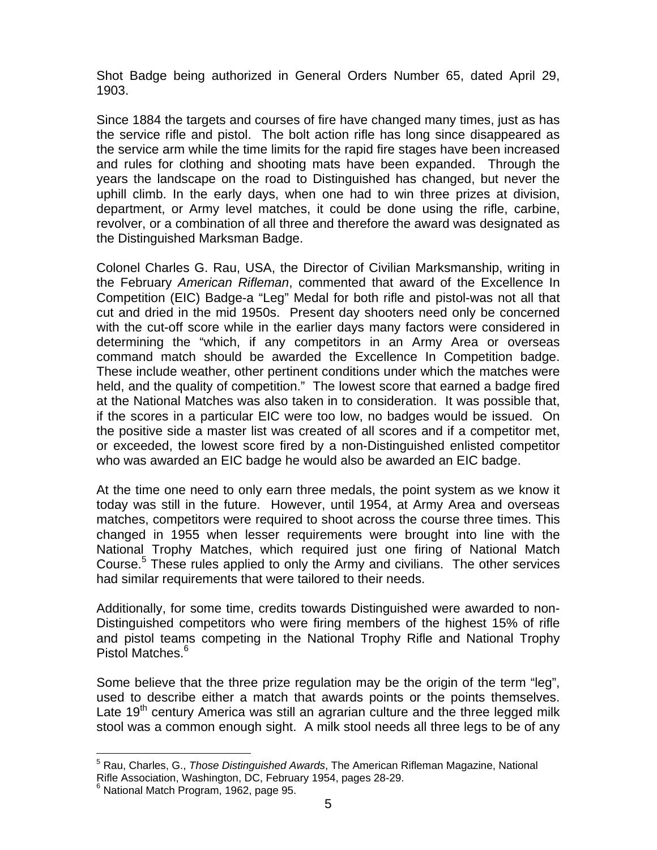Shot Badge being authorized in General Orders Number 65, dated April 29, 1903.

Since 1884 the targets and courses of fire have changed many times, just as has the service rifle and pistol. The bolt action rifle has long since disappeared as the service arm while the time limits for the rapid fire stages have been increased and rules for clothing and shooting mats have been expanded. Through the years the landscape on the road to Distinguished has changed, but never the uphill climb. In the early days, when one had to win three prizes at division, department, or Army level matches, it could be done using the rifle, carbine, revolver, or a combination of all three and therefore the award was designated as the Distinguished Marksman Badge.

Colonel Charles G. Rau, USA, the Director of Civilian Marksmanship, writing in the February *American Rifleman*, commented that award of the Excellence In Competition (EIC) Badge-a "Leg" Medal for both rifle and pistol-was not all that cut and dried in the mid 1950s. Present day shooters need only be concerned with the cut-off score while in the earlier days many factors were considered in determining the "which, if any competitors in an Army Area or overseas command match should be awarded the Excellence In Competition badge. These include weather, other pertinent conditions under which the matches were held, and the quality of competition." The lowest score that earned a badge fired at the National Matches was also taken in to consideration. It was possible that, if the scores in a particular EIC were too low, no badges would be issued. On the positive side a master list was created of all scores and if a competitor met, or exceeded, the lowest score fired by a non-Distinguished enlisted competitor who was awarded an EIC badge he would also be awarded an EIC badge.

At the time one need to only earn three medals, the point system as we know it today was still in the future. However, until 1954, at Army Area and overseas matches, competitors were required to shoot across the course three times. This changed in 1955 when lesser requirements were brought into line with the National Trophy Matches, which required just one firing of National Match Course.<sup>5</sup> These rules applied to only the Army and civilians. The other services had similar requirements that were tailored to their needs.

Additionally, for some time, credits towards Distinguished were awarded to non-Distinguished competitors who were firing members of the highest 15% of rifle and pistol teams competing in the National Trophy Rifle and National Trophy Pistol Matches.<sup>6</sup>

Some believe that the three prize regulation may be the origin of the term "leg", used to describe either a match that awards points or the points themselves. Late  $19<sup>th</sup>$  century America was still an agrarian culture and the three legged milk stool was a common enough sight. A milk stool needs all three legs to be of any

 $\overline{a}$ 

<sup>5</sup> Rau, Charles, G., *Those Distinguished Awards*, The American Rifleman Magazine, National Rifle Association, Washington, DC, February 1954, pages 28-29. 6

 $6$  National Match Program, 1962, page 95.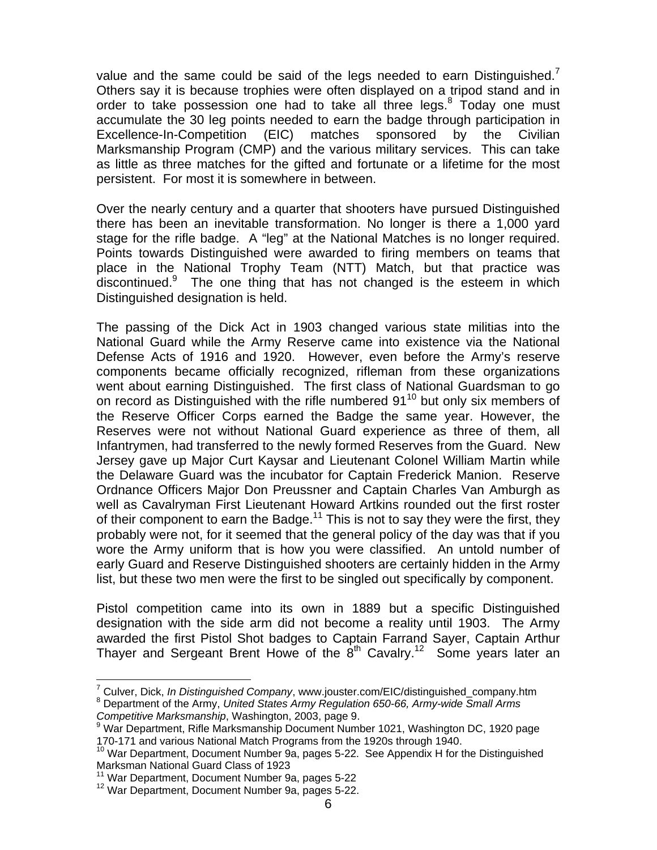value and the same could be said of the legs needed to earn Distinguished.<sup>7</sup> Others say it is because trophies were often displayed on a tripod stand and in order to take possession one had to take all three legs.<sup>8</sup> Today one must accumulate the 30 leg points needed to earn the badge through participation in Excellence-In-Competition (EIC) matches sponsored by the Civilian Marksmanship Program (CMP) and the various military services. This can take as little as three matches for the gifted and fortunate or a lifetime for the most persistent. For most it is somewhere in between.

Over the nearly century and a quarter that shooters have pursued Distinguished there has been an inevitable transformation. No longer is there a 1,000 yard stage for the rifle badge. A "leg" at the National Matches is no longer required. Points towards Distinguished were awarded to firing members on teams that place in the National Trophy Team (NTT) Match, but that practice was discontinued. $9$  The one thing that has not changed is the esteem in which Distinguished designation is held.

The passing of the Dick Act in 1903 changed various state militias into the National Guard while the Army Reserve came into existence via the National Defense Acts of 1916 and 1920. However, even before the Army's reserve components became officially recognized, rifleman from these organizations went about earning Distinguished. The first class of National Guardsman to go on record as Distinguished with the rifle numbered  $91^{10}$  but only six members of the Reserve Officer Corps earned the Badge the same year. However, the Reserves were not without National Guard experience as three of them, all Infantrymen, had transferred to the newly formed Reserves from the Guard. New Jersey gave up Major Curt Kaysar and Lieutenant Colonel William Martin while the Delaware Guard was the incubator for Captain Frederick Manion. Reserve Ordnance Officers Major Don Preussner and Captain Charles Van Amburgh as well as Cavalryman First Lieutenant Howard Artkins rounded out the first roster of their component to earn the Badge.<sup>11</sup> This is not to say they were the first, they probably were not, for it seemed that the general policy of the day was that if you wore the Army uniform that is how you were classified. An untold number of early Guard and Reserve Distinguished shooters are certainly hidden in the Army list, but these two men were the first to be singled out specifically by component.

Pistol competition came into its own in 1889 but a specific Distinguished designation with the side arm did not become a reality until 1903. The Army awarded the first Pistol Shot badges to Captain Farrand Sayer, Captain Arthur Thayer and Sergeant Brent Howe of the  $8<sup>th</sup>$  Cavalry.<sup>12</sup> Some years later an

 7 Culver, Dick, *In Distinguished Company*, www.jouster.com/EIC/distinguished\_company.htm 8 Department of the Army, *United States Army Regulation 650-66, Army-wide Small Arms* 

*Competitive Marksmanship*, Washington, 2003, page 9.

War Department, Rifle Marksmanship Document Number 1021, Washington DC, 1920 page 170-171 and various National Match Programs from the 1920s through 1940.

<sup>&</sup>lt;sup>10</sup> War Department, Document Number 9a, pages 5-22. See Appendix H for the Distinguished Marksman National Guard Class of 1923<br><sup>11</sup> War Department, Document Number 9a, pages 5-22

<sup>&</sup>lt;sup>12</sup> War Department, Document Number 9a, pages 5-22.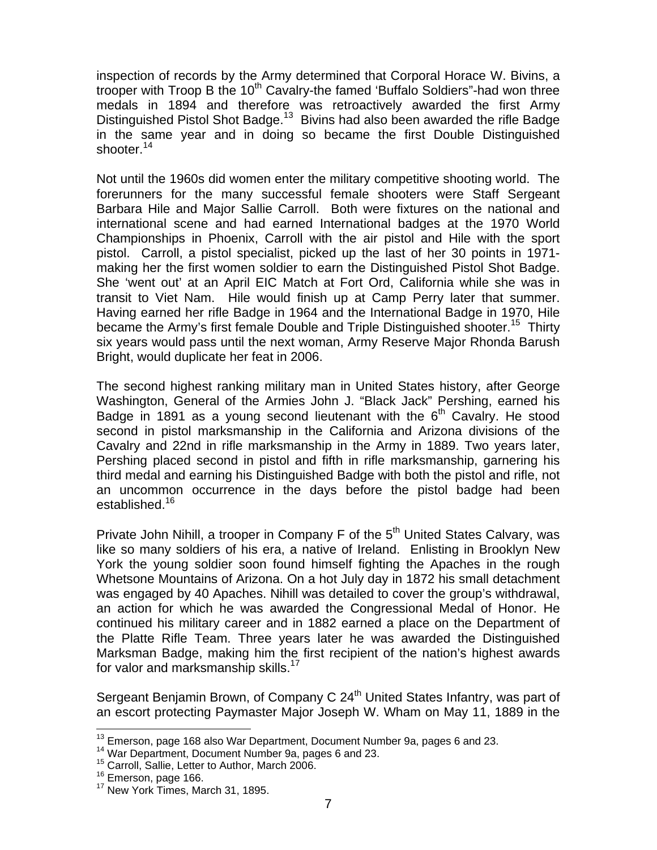inspection of records by the Army determined that Corporal Horace W. Bivins, a trooper with Troop B the 10<sup>th</sup> Cavalry-the famed 'Buffalo Soldiers"-had won three medals in 1894 and therefore was retroactively awarded the first Army Distinguished Pistol Shot Badge.<sup>13</sup> Bivins had also been awarded the rifle Badge in the same year and in doing so became the first Double Distinguished shooter.<sup>14</sup>

Not until the 1960s did women enter the military competitive shooting world. The forerunners for the many successful female shooters were Staff Sergeant Barbara Hile and Major Sallie Carroll. Both were fixtures on the national and international scene and had earned International badges at the 1970 World Championships in Phoenix, Carroll with the air pistol and Hile with the sport pistol. Carroll, a pistol specialist, picked up the last of her 30 points in 1971 making her the first women soldier to earn the Distinguished Pistol Shot Badge. She 'went out' at an April EIC Match at Fort Ord, California while she was in transit to Viet Nam. Hile would finish up at Camp Perry later that summer. Having earned her rifle Badge in 1964 and the International Badge in 1970, Hile became the Army's first female Double and Triple Distinguished shooter.<sup>15</sup> Thirty six years would pass until the next woman, Army Reserve Major Rhonda Barush Bright, would duplicate her feat in 2006.

The second highest ranking military man in United States history, after George Washington, General of the Armies John J. "Black Jack" Pershing, earned his Badge in 1891 as a young second lieutenant with the  $6<sup>th</sup>$  Cavalry. He stood second in pistol marksmanship in the California and Arizona divisions of the Cavalry and 22nd in rifle marksmanship in the Army in 1889. Two years later, Pershing placed second in pistol and fifth in rifle marksmanship, garnering his third medal and earning his Distinguished Badge with both the pistol and rifle, not an uncommon occurrence in the days before the pistol badge had been established.<sup>16</sup>

Private John Nihill, a trooper in Company F of the  $5<sup>th</sup>$  United States Calvary, was like so many soldiers of his era, a native of Ireland. Enlisting in Brooklyn New York the young soldier soon found himself fighting the Apaches in the rough Whetsone Mountains of Arizona. On a hot July day in 1872 his small detachment was engaged by 40 Apaches. Nihill was detailed to cover the group's withdrawal, an action for which he was awarded the Congressional Medal of Honor. He continued his military career and in 1882 earned a place on the Department of the Platte Rifle Team. Three years later he was awarded the Distinguished Marksman Badge, making him the first recipient of the nation's highest awards for valor and marksmanship skills.<sup>17</sup>

Sergeant Benjamin Brown, of Company C 24<sup>th</sup> United States Infantry, was part of an escort protecting Paymaster Major Joseph W. Wham on May 11, 1889 in the

 $\overline{a}$ <sup>13</sup> Emerson, page 168 also War Department, Document Number 9a, pages 6 and 23.<br><sup>14</sup> War Department, Document Number 9a, pages 6 and 23.<br><sup>15</sup> Carroll, Sallie, Letter to Author, March 2006.<br><sup>16</sup> Emerson, page 166.

 $17$  New York Times, March 31, 1895.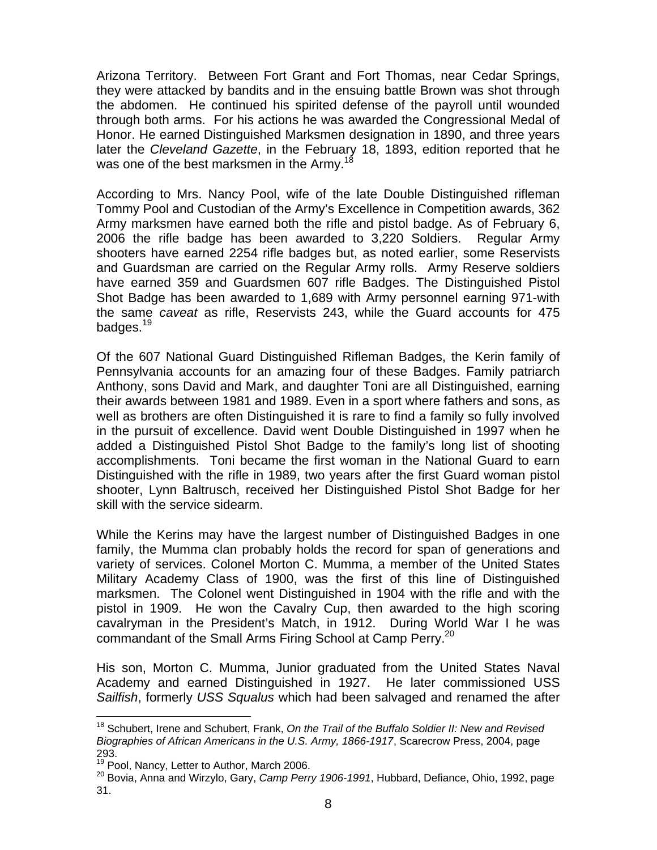Arizona Territory. Between Fort Grant and Fort Thomas, near Cedar Springs, they were attacked by bandits and in the ensuing battle Brown was shot through the abdomen. He continued his spirited defense of the payroll until wounded through both arms. For his actions he was awarded the Congressional Medal of Honor. He earned Distinguished Marksmen designation in 1890, and three years later the *Cleveland Gazette*, in the February 18, 1893, edition reported that he was one of the best marksmen in the Army.<sup>18</sup>

According to Mrs. Nancy Pool, wife of the late Double Distinguished rifleman Tommy Pool and Custodian of the Army's Excellence in Competition awards, 362 Army marksmen have earned both the rifle and pistol badge. As of February 6, 2006 the rifle badge has been awarded to 3,220 Soldiers. Regular Army shooters have earned 2254 rifle badges but, as noted earlier, some Reservists and Guardsman are carried on the Regular Army rolls. Army Reserve soldiers have earned 359 and Guardsmen 607 rifle Badges. The Distinguished Pistol Shot Badge has been awarded to 1,689 with Army personnel earning 971-with the same *caveat* as rifle, Reservists 243, while the Guard accounts for 475 badges.<sup>19</sup>

Of the 607 National Guard Distinguished Rifleman Badges, the Kerin family of Pennsylvania accounts for an amazing four of these Badges. Family patriarch Anthony, sons David and Mark, and daughter Toni are all Distinguished, earning their awards between 1981 and 1989. Even in a sport where fathers and sons, as well as brothers are often Distinguished it is rare to find a family so fully involved in the pursuit of excellence. David went Double Distinguished in 1997 when he added a Distinguished Pistol Shot Badge to the family's long list of shooting accomplishments. Toni became the first woman in the National Guard to earn Distinguished with the rifle in 1989, two years after the first Guard woman pistol shooter, Lynn Baltrusch, received her Distinguished Pistol Shot Badge for her skill with the service sidearm.

While the Kerins may have the largest number of Distinguished Badges in one family, the Mumma clan probably holds the record for span of generations and variety of services. Colonel Morton C. Mumma, a member of the United States Military Academy Class of 1900, was the first of this line of Distinguished marksmen. The Colonel went Distinguished in 1904 with the rifle and with the pistol in 1909. He won the Cavalry Cup, then awarded to the high scoring cavalryman in the President's Match, in 1912. During World War I he was commandant of the Small Arms Firing School at Camp Perry.<sup>20</sup>

His son, Morton C. Mumma, Junior graduated from the United States Naval Academy and earned Distinguished in 1927. He later commissioned USS *Sailfish*, formerly *USS Squalus* which had been salvaged and renamed the after

 $\overline{a}$ 

<sup>18</sup> Schubert, Irene and Schubert, Frank, *On the Trail of the Buffalo Soldier II: New and Revised Biographies of African Americans in the U.S. Army, 1866-1917*, Scarecrow Press, 2004, page

<sup>293.&</sup>lt;br><sup>19</sup> Pool, Nancy, Letter to Author, March 2006.

<sup>&</sup>lt;sup>20</sup> Bovia, Anna and Wirzylo, Gary, *Camp Perry 1906-1991*, Hubbard, Defiance, Ohio, 1992, page 31.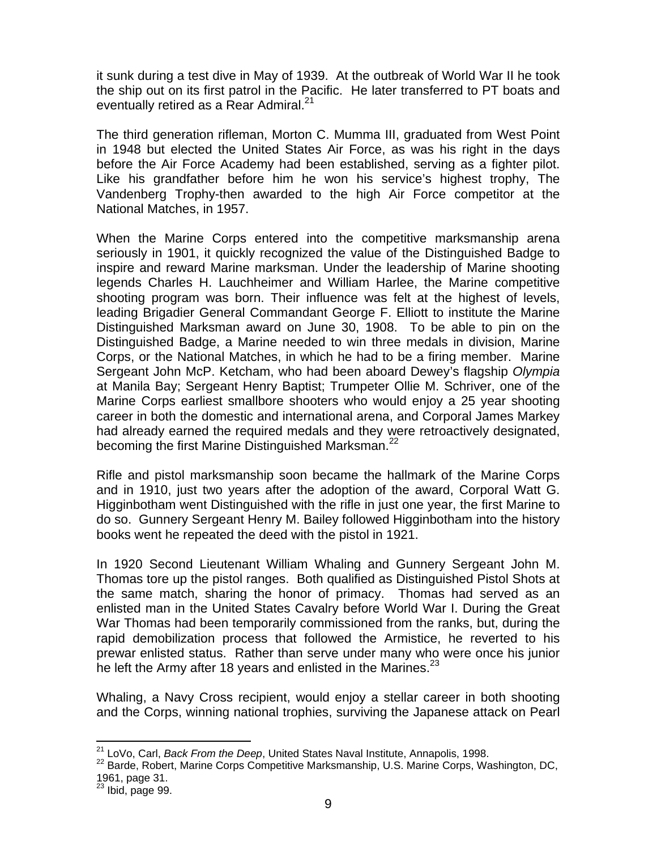it sunk during a test dive in May of 1939. At the outbreak of World War II he took the ship out on its first patrol in the Pacific. He later transferred to PT boats and eventually retired as a Rear Admiral.<sup>21</sup>

The third generation rifleman, Morton C. Mumma III, graduated from West Point in 1948 but elected the United States Air Force, as was his right in the days before the Air Force Academy had been established, serving as a fighter pilot. Like his grandfather before him he won his service's highest trophy, The Vandenberg Trophy-then awarded to the high Air Force competitor at the National Matches, in 1957.

When the Marine Corps entered into the competitive marksmanship arena seriously in 1901, it quickly recognized the value of the Distinguished Badge to inspire and reward Marine marksman. Under the leadership of Marine shooting legends Charles H. Lauchheimer and William Harlee, the Marine competitive shooting program was born. Their influence was felt at the highest of levels, leading Brigadier General Commandant George F. Elliott to institute the Marine Distinguished Marksman award on June 30, 1908. To be able to pin on the Distinguished Badge, a Marine needed to win three medals in division, Marine Corps, or the National Matches, in which he had to be a firing member. Marine Sergeant John McP. Ketcham, who had been aboard Dewey's flagship *Olympia* at Manila Bay; Sergeant Henry Baptist; Trumpeter Ollie M. Schriver, one of the Marine Corps earliest smallbore shooters who would enjoy a 25 year shooting career in both the domestic and international arena, and Corporal James Markey had already earned the required medals and they were retroactively designated, becoming the first Marine Distinguished Marksman.<sup>22</sup>

Rifle and pistol marksmanship soon became the hallmark of the Marine Corps and in 1910, just two years after the adoption of the award, Corporal Watt G. Higginbotham went Distinguished with the rifle in just one year, the first Marine to do so. Gunnery Sergeant Henry M. Bailey followed Higginbotham into the history books went he repeated the deed with the pistol in 1921.

In 1920 Second Lieutenant William Whaling and Gunnery Sergeant John M. Thomas tore up the pistol ranges. Both qualified as Distinguished Pistol Shots at the same match, sharing the honor of primacy. Thomas had served as an enlisted man in the United States Cavalry before World War I. During the Great War Thomas had been temporarily commissioned from the ranks, but, during the rapid demobilization process that followed the Armistice, he reverted to his prewar enlisted status. Rather than serve under many who were once his junior he left the Army after 18 years and enlisted in the Marines. $^{23}$ 

Whaling, a Navy Cross recipient, would enjoy a stellar career in both shooting and the Corps, winning national trophies, surviving the Japanese attack on Pearl

<sup>&</sup>lt;sup>21</sup> LoVo, Carl, Back From the Deep, United States Naval Institute, Annapolis, 1998.

<sup>21</sup> LoVo, Carl, *Back From the Deep*, United States Naval Institute, Annapolis, 1998. 22 Barde, Robert, Marine Corps Competitive Marksmanship, U.S. Marine Corps, Washington, DC, 1961, page 31.

 $23$  Ibid, page 99.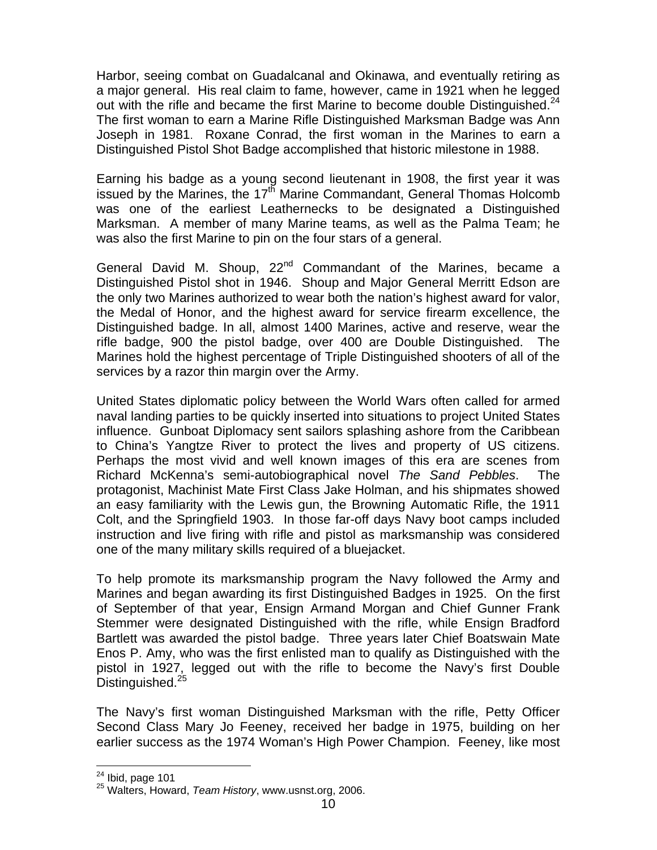Harbor, seeing combat on Guadalcanal and Okinawa, and eventually retiring as a major general. His real claim to fame, however, came in 1921 when he legged out with the rifle and became the first Marine to become double Distinguished.<sup>24</sup> The first woman to earn a Marine Rifle Distinguished Marksman Badge was Ann Joseph in 1981. Roxane Conrad, the first woman in the Marines to earn a Distinguished Pistol Shot Badge accomplished that historic milestone in 1988.

Earning his badge as a young second lieutenant in 1908, the first year it was issued by the Marines, the 17<sup>th</sup> Marine Commandant, General Thomas Holcomb was one of the earliest Leathernecks to be designated a Distinguished Marksman. A member of many Marine teams, as well as the Palma Team; he was also the first Marine to pin on the four stars of a general.

General David M. Shoup, 22<sup>nd</sup> Commandant of the Marines, became a Distinguished Pistol shot in 1946. Shoup and Major General Merritt Edson are the only two Marines authorized to wear both the nation's highest award for valor, the Medal of Honor, and the highest award for service firearm excellence, the Distinguished badge. In all, almost 1400 Marines, active and reserve, wear the rifle badge, 900 the pistol badge, over 400 are Double Distinguished. The Marines hold the highest percentage of Triple Distinguished shooters of all of the services by a razor thin margin over the Army.

United States diplomatic policy between the World Wars often called for armed naval landing parties to be quickly inserted into situations to project United States influence. Gunboat Diplomacy sent sailors splashing ashore from the Caribbean to China's Yangtze River to protect the lives and property of US citizens. Perhaps the most vivid and well known images of this era are scenes from Richard McKenna's semi-autobiographical novel *The Sand Pebbles*. The protagonist, Machinist Mate First Class Jake Holman, and his shipmates showed an easy familiarity with the Lewis gun, the Browning Automatic Rifle, the 1911 Colt, and the Springfield 1903. In those far-off days Navy boot camps included instruction and live firing with rifle and pistol as marksmanship was considered one of the many military skills required of a bluejacket.

To help promote its marksmanship program the Navy followed the Army and Marines and began awarding its first Distinguished Badges in 1925. On the first of September of that year, Ensign Armand Morgan and Chief Gunner Frank Stemmer were designated Distinguished with the rifle, while Ensign Bradford Bartlett was awarded the pistol badge. Three years later Chief Boatswain Mate Enos P. Amy, who was the first enlisted man to qualify as Distinguished with the pistol in 1927, legged out with the rifle to become the Navy's first Double Distinguished.<sup>25</sup>

The Navy's first woman Distinguished Marksman with the rifle, Petty Officer Second Class Mary Jo Feeney, received her badge in 1975, building on her earlier success as the 1974 Woman's High Power Champion. Feeney, like most

<sup>1</sup> 

<sup>&</sup>lt;sup>24</sup> Ibid, page 101<br><sup>25</sup> Walters, Howard, *Team History*, www.usnst.org, 2006.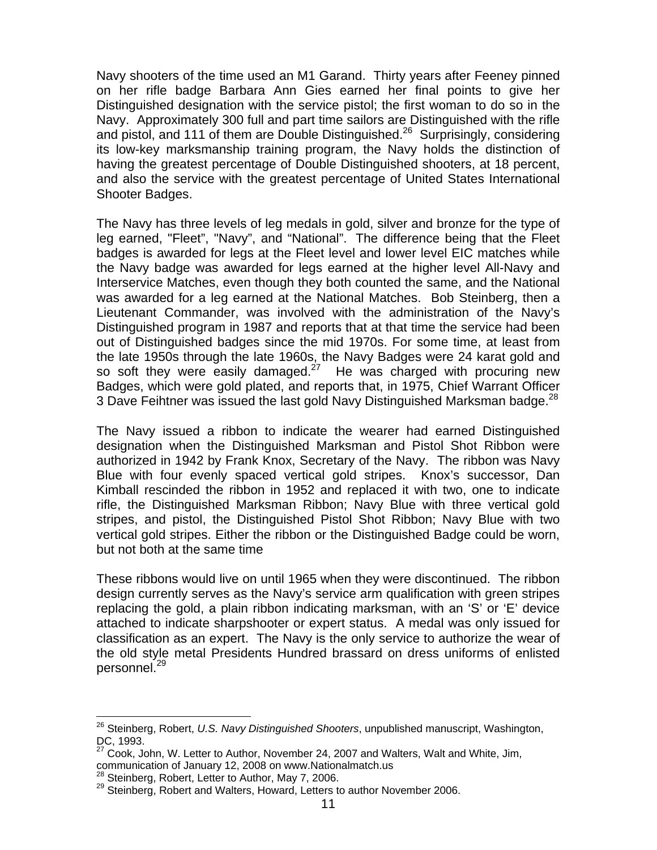Navy shooters of the time used an M1 Garand. Thirty years after Feeney pinned on her rifle badge Barbara Ann Gies earned her final points to give her Distinguished designation with the service pistol; the first woman to do so in the Navy. Approximately 300 full and part time sailors are Distinguished with the rifle and pistol, and 111 of them are Double Distinguished.<sup>26</sup> Surprisingly, considering its low-key marksmanship training program, the Navy holds the distinction of having the greatest percentage of Double Distinguished shooters, at 18 percent, and also the service with the greatest percentage of United States International Shooter Badges.

The Navy has three levels of leg medals in gold, silver and bronze for the type of leg earned, "Fleet", "Navy", and "National". The difference being that the Fleet badges is awarded for legs at the Fleet level and lower level EIC matches while the Navy badge was awarded for legs earned at the higher level All-Navy and Interservice Matches, even though they both counted the same, and the National was awarded for a leg earned at the National Matches. Bob Steinberg, then a Lieutenant Commander, was involved with the administration of the Navy's Distinguished program in 1987 and reports that at that time the service had been out of Distinguished badges since the mid 1970s. For some time, at least from the late 1950s through the late 1960s, the Navy Badges were 24 karat gold and so soft they were easily damaged.<sup>27</sup> He was charged with procuring new Badges, which were gold plated, and reports that, in 1975, Chief Warrant Officer 3 Dave Feihtner was issued the last gold Navy Distinguished Marksman badge.<sup>28</sup>

The Navy issued a ribbon to indicate the wearer had earned Distinguished designation when the Distinguished Marksman and Pistol Shot Ribbon were authorized in 1942 by Frank Knox, Secretary of the Navy. The ribbon was Navy Blue with four evenly spaced vertical gold stripes. Knox's successor, Dan Kimball rescinded the ribbon in 1952 and replaced it with two, one to indicate rifle, the Distinguished Marksman Ribbon; Navy Blue with three vertical gold stripes, and pistol, the Distinguished Pistol Shot Ribbon; Navy Blue with two vertical gold stripes. Either the ribbon or the Distinguished Badge could be worn, but not both at the same time

These ribbons would live on until 1965 when they were discontinued. The ribbon design currently serves as the Navy's service arm qualification with green stripes replacing the gold, a plain ribbon indicating marksman, with an 'S' or 'E' device attached to indicate sharpshooter or expert status. A medal was only issued for classification as an expert. The Navy is the only service to authorize the wear of the old style metal Presidents Hundred brassard on dress uniforms of enlisted personnel.<sup>29</sup>

<u>.</u>

<sup>26</sup> Steinberg, Robert, *U.S. Navy Distinguished Shooters*, unpublished manuscript, Washington, DC, 1993.

 $27$  Cook, John, W. Letter to Author, November 24, 2007 and Walters, Walt and White, Jim, communication of January 12, 2008 on www.Nationalmatch.us<br><sup>28</sup> Steinberg, Robert, Letter to Author, May 7, 2006.

<sup>&</sup>lt;sup>29</sup> Steinberg, Robert and Walters, Howard, Letters to author November 2006.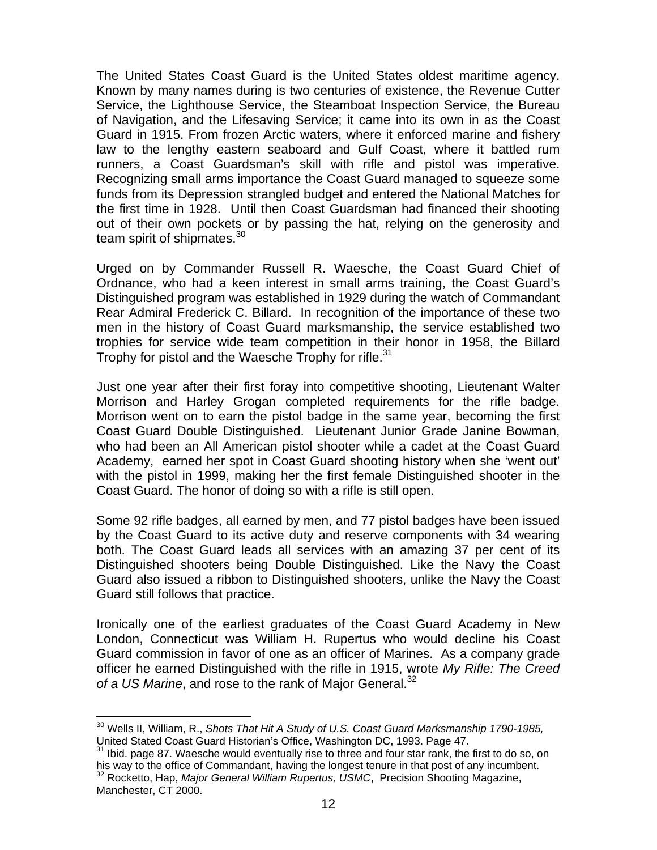The United States Coast Guard is the United States oldest maritime agency. Known by many names during is two centuries of existence, the Revenue Cutter Service, the Lighthouse Service, the Steamboat Inspection Service, the Bureau of Navigation, and the Lifesaving Service; it came into its own in as the Coast Guard in 1915. From frozen Arctic waters, where it enforced marine and fishery law to the lengthy eastern seaboard and Gulf Coast, where it battled rum runners, a Coast Guardsman's skill with rifle and pistol was imperative. Recognizing small arms importance the Coast Guard managed to squeeze some funds from its Depression strangled budget and entered the National Matches for the first time in 1928. Until then Coast Guardsman had financed their shooting out of their own pockets or by passing the hat, relying on the generosity and team spirit of shipmates.<sup>30</sup>

Urged on by Commander Russell R. Waesche, the Coast Guard Chief of Ordnance, who had a keen interest in small arms training, the Coast Guard's Distinguished program was established in 1929 during the watch of Commandant Rear Admiral Frederick C. Billard. In recognition of the importance of these two men in the history of Coast Guard marksmanship, the service established two trophies for service wide team competition in their honor in 1958, the Billard Trophy for pistol and the Waesche Trophy for rifle.<sup>31</sup>

Just one year after their first foray into competitive shooting, Lieutenant Walter Morrison and Harley Grogan completed requirements for the rifle badge. Morrison went on to earn the pistol badge in the same year, becoming the first Coast Guard Double Distinguished. Lieutenant Junior Grade Janine Bowman, who had been an All American pistol shooter while a cadet at the Coast Guard Academy, earned her spot in Coast Guard shooting history when she 'went out' with the pistol in 1999, making her the first female Distinguished shooter in the Coast Guard. The honor of doing so with a rifle is still open.

Some 92 rifle badges, all earned by men, and 77 pistol badges have been issued by the Coast Guard to its active duty and reserve components with 34 wearing both. The Coast Guard leads all services with an amazing 37 per cent of its Distinguished shooters being Double Distinguished. Like the Navy the Coast Guard also issued a ribbon to Distinguished shooters, unlike the Navy the Coast Guard still follows that practice.

Ironically one of the earliest graduates of the Coast Guard Academy in New London, Connecticut was William H. Rupertus who would decline his Coast Guard commission in favor of one as an officer of Marines. As a company grade officer he earned Distinguished with the rifle in 1915, wrote *My Rifle: The Creed*  of a US Marine, and rose to the rank of Major General.<sup>32</sup>

 $\overline{a}$ 

<sup>&</sup>lt;sup>30</sup> Wells II, William, R., *Shots That Hit A Study of U.S. Coast Guard Marksmanship 1790-1985,* United Stated Coast Guard Historian's Office, Washington DC, 1993. Page 47.

 $31$  Ibid. page 87. Waesche would eventually rise to three and four star rank, the first to do so, on his way to the office of Commandant, having the longest tenure in that post of any incumbent.<br><sup>32</sup> Rocketto, Hap, *Major General William Rupertus, USMC*, Precision Shooting Magazine, Manchester, CT 2000.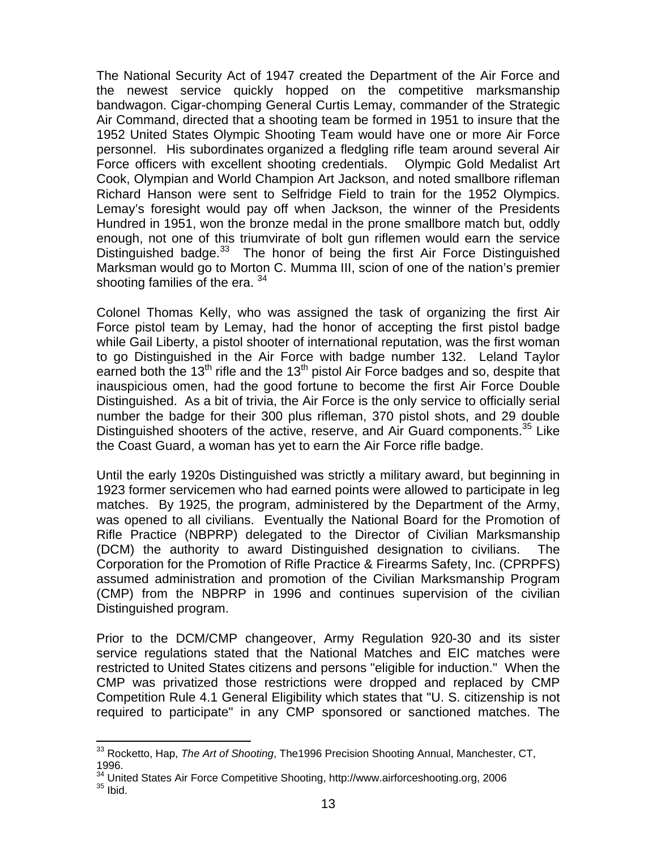The National Security Act of 1947 created the Department of the Air Force and the newest service quickly hopped on the competitive marksmanship bandwagon. Cigar-chomping General Curtis Lemay, commander of the Strategic Air Command, directed that a shooting team be formed in 1951 to insure that the 1952 United States Olympic Shooting Team would have one or more Air Force personnel. His subordinates organized a fledgling rifle team around several Air Force officers with excellent shooting credentials. Olympic Gold Medalist Art Cook, Olympian and World Champion Art Jackson, and noted smallbore rifleman Richard Hanson were sent to Selfridge Field to train for the 1952 Olympics. Lemay's foresight would pay off when Jackson, the winner of the Presidents Hundred in 1951, won the bronze medal in the prone smallbore match but, oddly enough, not one of this triumvirate of bolt gun riflemen would earn the service Distinguished badge.<sup>33</sup> The honor of being the first Air Force Distinguished Marksman would go to Morton C. Mumma III, scion of one of the nation's premier shooting families of the era. <sup>34</sup>

Colonel Thomas Kelly, who was assigned the task of organizing the first Air Force pistol team by Lemay, had the honor of accepting the first pistol badge while Gail Liberty, a pistol shooter of international reputation, was the first woman to go Distinguished in the Air Force with badge number 132. Leland Taylor earned both the 13<sup>th</sup> rifle and the 13<sup>th</sup> pistol Air Force badges and so, despite that inauspicious omen, had the good fortune to become the first Air Force Double Distinguished. As a bit of trivia, the Air Force is the only service to officially serial number the badge for their 300 plus rifleman, 370 pistol shots, and 29 double Distinguished shooters of the active, reserve, and Air Guard components.<sup>35</sup> Like the Coast Guard, a woman has yet to earn the Air Force rifle badge.

Until the early 1920s Distinguished was strictly a military award, but beginning in 1923 former servicemen who had earned points were allowed to participate in leg matches. By 1925, the program, administered by the Department of the Army, was opened to all civilians. Eventually the National Board for the Promotion of Rifle Practice (NBPRP) delegated to the Director of Civilian Marksmanship (DCM) the authority to award Distinguished designation to civilians. The Corporation for the Promotion of Rifle Practice & Firearms Safety, Inc. (CPRPFS) assumed administration and promotion of the Civilian Marksmanship Program (CMP) from the NBPRP in 1996 and continues supervision of the civilian Distinguished program.

Prior to the DCM/CMP changeover, Army Regulation 920-30 and its sister service regulations stated that the National Matches and EIC matches were restricted to United States citizens and persons "eligible for induction." When the CMP was privatized those restrictions were dropped and replaced by CMP Competition Rule 4.1 General Eligibility which states that "U. S. citizenship is not required to participate" in any CMP sponsored or sanctioned matches. The

 $\overline{a}$ 

<sup>33</sup> Rocketto, Hap, *The Art of Shooting*, The1996 Precision Shooting Annual, Manchester, CT, 1996.

 $34$  United States Air Force Competitive Shooting, http://www.airforceshooting.org, 2006<br> $35$  Ibid.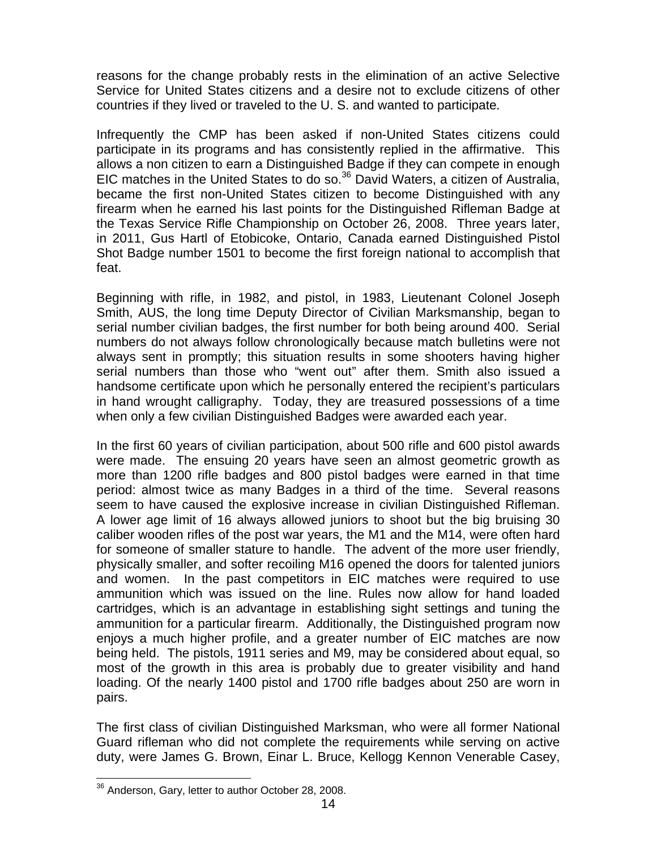reasons for the change probably rests in the elimination of an active Selective Service for United States citizens and a desire not to exclude citizens of other countries if they lived or traveled to the U. S. and wanted to participate.

Infrequently the CMP has been asked if non-United States citizens could participate in its programs and has consistently replied in the affirmative. This allows a non citizen to earn a Distinguished Badge if they can compete in enough EIC matches in the United States to do so. $36$  David Waters, a citizen of Australia, became the first non-United States citizen to become Distinguished with any firearm when he earned his last points for the Distinguished Rifleman Badge at the Texas Service Rifle Championship on October 26, 2008. Three years later, in 2011, Gus Hartl of Etobicoke, Ontario, Canada earned Distinguished Pistol Shot Badge number 1501 to become the first foreign national to accomplish that feat.

Beginning with rifle, in 1982, and pistol, in 1983, Lieutenant Colonel Joseph Smith, AUS, the long time Deputy Director of Civilian Marksmanship, began to serial number civilian badges, the first number for both being around 400. Serial numbers do not always follow chronologically because match bulletins were not always sent in promptly; this situation results in some shooters having higher serial numbers than those who "went out" after them. Smith also issued a handsome certificate upon which he personally entered the recipient's particulars in hand wrought calligraphy. Today, they are treasured possessions of a time when only a few civilian Distinguished Badges were awarded each year.

In the first 60 years of civilian participation, about 500 rifle and 600 pistol awards were made. The ensuing 20 years have seen an almost geometric growth as more than 1200 rifle badges and 800 pistol badges were earned in that time period: almost twice as many Badges in a third of the time. Several reasons seem to have caused the explosive increase in civilian Distinguished Rifleman. A lower age limit of 16 always allowed juniors to shoot but the big bruising 30 caliber wooden rifles of the post war years, the M1 and the M14, were often hard for someone of smaller stature to handle. The advent of the more user friendly, physically smaller, and softer recoiling M16 opened the doors for talented juniors and women. In the past competitors in EIC matches were required to use ammunition which was issued on the line. Rules now allow for hand loaded cartridges, which is an advantage in establishing sight settings and tuning the ammunition for a particular firearm. Additionally, the Distinguished program now enjoys a much higher profile, and a greater number of EIC matches are now being held. The pistols, 1911 series and M9, may be considered about equal, so most of the growth in this area is probably due to greater visibility and hand loading. Of the nearly 1400 pistol and 1700 rifle badges about 250 are worn in pairs.

The first class of civilian Distinguished Marksman, who were all former National Guard rifleman who did not complete the requirements while serving on active duty, were James G. Brown, Einar L. Bruce, Kellogg Kennon Venerable Casey,

 $\overline{a}$ <sup>36</sup> Anderson, Gary, letter to author October 28, 2008.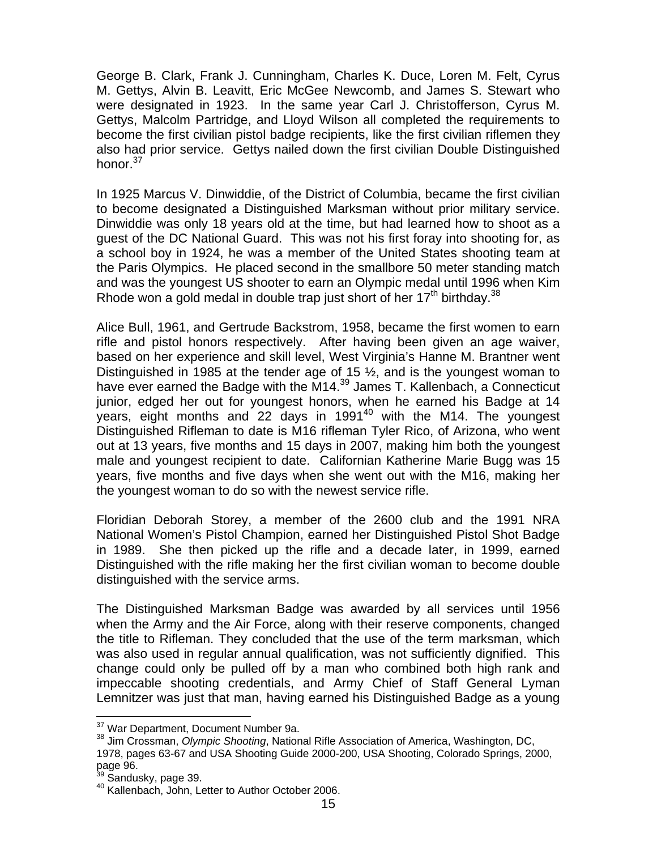George B. Clark, Frank J. Cunningham, Charles K. Duce, Loren M. Felt, Cyrus M. Gettys, Alvin B. Leavitt, Eric McGee Newcomb, and James S. Stewart who were designated in 1923. In the same year Carl J. Christofferson, Cyrus M. Gettys, Malcolm Partridge, and Lloyd Wilson all completed the requirements to become the first civilian pistol badge recipients, like the first civilian riflemen they also had prior service. Gettys nailed down the first civilian Double Distinguished honor. $37$ 

In 1925 Marcus V. Dinwiddie, of the District of Columbia, became the first civilian to become designated a Distinguished Marksman without prior military service. Dinwiddie was only 18 years old at the time, but had learned how to shoot as a guest of the DC National Guard. This was not his first foray into shooting for, as a school boy in 1924, he was a member of the United States shooting team at the Paris Olympics. He placed second in the smallbore 50 meter standing match and was the youngest US shooter to earn an Olympic medal until 1996 when Kim Rhode won a gold medal in double trap just short of her  $17<sup>th</sup>$  birthday.<sup>38</sup>

Alice Bull, 1961, and Gertrude Backstrom, 1958, became the first women to earn rifle and pistol honors respectively. After having been given an age waiver, based on her experience and skill level, West Virginia's Hanne M. Brantner went Distinguished in 1985 at the tender age of 15  $\frac{1}{2}$ , and is the youngest woman to have ever earned the Badge with the M14.<sup>39</sup> James T. Kallenbach, a Connecticut junior, edged her out for youngest honors, when he earned his Badge at 14 years, eight months and 22 days in  $1991^{40}$  with the M14. The youngest Distinguished Rifleman to date is M16 rifleman Tyler Rico, of Arizona, who went out at 13 years, five months and 15 days in 2007, making him both the youngest male and youngest recipient to date. Californian Katherine Marie Bugg was 15 years, five months and five days when she went out with the M16, making her the youngest woman to do so with the newest service rifle.

Floridian Deborah Storey, a member of the 2600 club and the 1991 NRA National Women's Pistol Champion, earned her Distinguished Pistol Shot Badge in 1989. She then picked up the rifle and a decade later, in 1999, earned Distinguished with the rifle making her the first civilian woman to become double distinguished with the service arms.

The Distinguished Marksman Badge was awarded by all services until 1956 when the Army and the Air Force, along with their reserve components, changed the title to Rifleman. They concluded that the use of the term marksman, which was also used in regular annual qualification, was not sufficiently dignified. This change could only be pulled off by a man who combined both high rank and impeccable shooting credentials, and Army Chief of Staff General Lyman Lemnitzer was just that man, having earned his Distinguished Badge as a young

<sup>&</sup>lt;sup>37</sup> War Department, Document Number 9a.

<sup>&</sup>lt;sup>38</sup> Jim Crossman, *Olympic Shooting*, National Rifle Association of America, Washington, DC, 1978, pages 63-67 and USA Shooting Guide 2000-200, USA Shooting, Colorado Springs, 2000, page 96.<br><sup>39</sup> Sandusky, page 39.

<sup>&</sup>lt;sup>40</sup> Kallenbach, John, Letter to Author October 2006.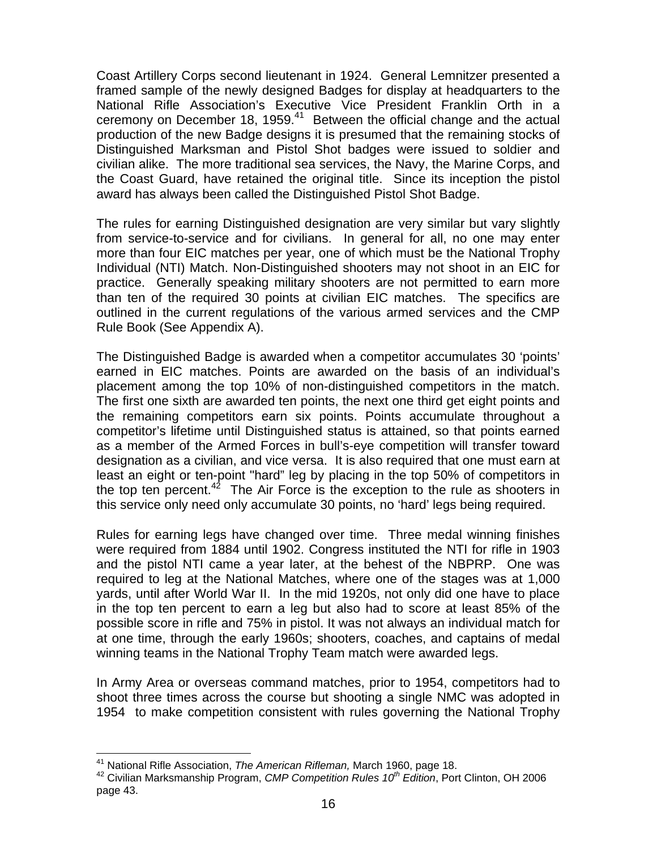Coast Artillery Corps second lieutenant in 1924. General Lemnitzer presented a framed sample of the newly designed Badges for display at headquarters to the National Rifle Association's Executive Vice President Franklin Orth in a ceremony on December 18, 1959. $41$  Between the official change and the actual production of the new Badge designs it is presumed that the remaining stocks of Distinguished Marksman and Pistol Shot badges were issued to soldier and civilian alike. The more traditional sea services, the Navy, the Marine Corps, and the Coast Guard, have retained the original title. Since its inception the pistol award has always been called the Distinguished Pistol Shot Badge.

The rules for earning Distinguished designation are very similar but vary slightly from service-to-service and for civilians. In general for all, no one may enter more than four EIC matches per year, one of which must be the National Trophy Individual (NTI) Match. Non-Distinguished shooters may not shoot in an EIC for practice. Generally speaking military shooters are not permitted to earn more than ten of the required 30 points at civilian EIC matches. The specifics are outlined in the current regulations of the various armed services and the CMP Rule Book (See Appendix A).

The Distinguished Badge is awarded when a competitor accumulates 30 'points' earned in EIC matches. Points are awarded on the basis of an individual's placement among the top 10% of non-distinguished competitors in the match. The first one sixth are awarded ten points, the next one third get eight points and the remaining competitors earn six points. Points accumulate throughout a competitor's lifetime until Distinguished status is attained, so that points earned as a member of the Armed Forces in bull's-eye competition will transfer toward designation as a civilian, and vice versa. It is also required that one must earn at least an eight or ten-point "hard" leg by placing in the top 50% of competitors in the top ten percent.<sup>42</sup> The Air Force is the exception to the rule as shooters in this service only need only accumulate 30 points, no 'hard' legs being required.

Rules for earning legs have changed over time. Three medal winning finishes were required from 1884 until 1902. Congress instituted the NTI for rifle in 1903 and the pistol NTI came a year later, at the behest of the NBPRP. One was required to leg at the National Matches, where one of the stages was at 1,000 yards, until after World War II. In the mid 1920s, not only did one have to place in the top ten percent to earn a leg but also had to score at least 85% of the possible score in rifle and 75% in pistol. It was not always an individual match for at one time, through the early 1960s; shooters, coaches, and captains of medal winning teams in the National Trophy Team match were awarded legs.

In Army Area or overseas command matches, prior to 1954, competitors had to shoot three times across the course but shooting a single NMC was adopted in 1954 to make competition consistent with rules governing the National Trophy

<sup>&</sup>lt;sup>41</sup> National Rifle Association, The American Rifleman, March 1960, page 18.

<sup>&</sup>lt;sup>42</sup> Civilian Marksmanship Program, *CMP Competition Rules 10<sup>th</sup> Edition*, Port Clinton, OH 2006 page 43.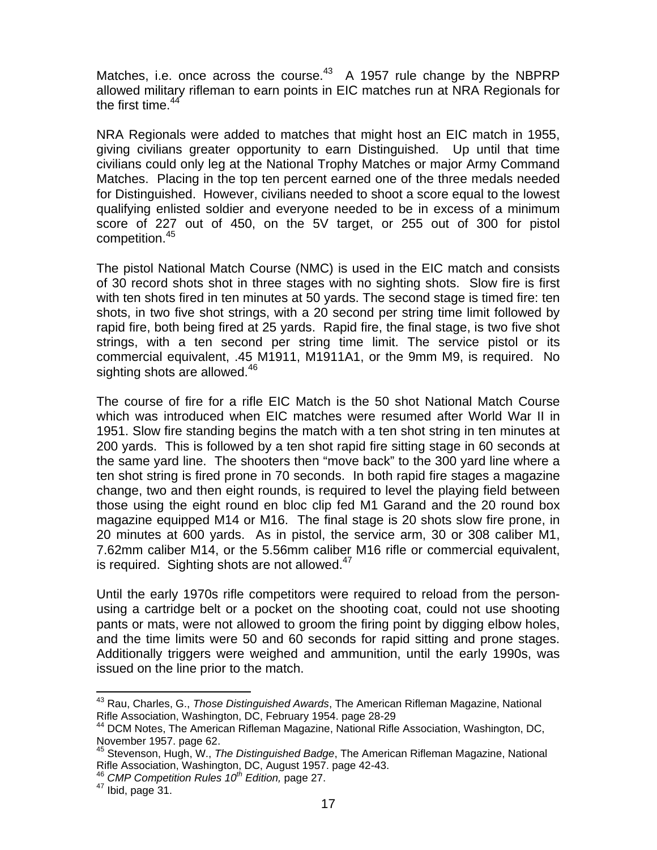Matches, i.e. once across the course.<sup>43</sup> A 1957 rule change by the NBPRP allowed military rifleman to earn points in EIC matches run at NRA Regionals for the first time. $44$ 

NRA Regionals were added to matches that might host an EIC match in 1955, giving civilians greater opportunity to earn Distinguished. Up until that time civilians could only leg at the National Trophy Matches or major Army Command Matches. Placing in the top ten percent earned one of the three medals needed for Distinguished. However, civilians needed to shoot a score equal to the lowest qualifying enlisted soldier and everyone needed to be in excess of a minimum score of 227 out of 450, on the 5V target, or 255 out of 300 for pistol competition.<sup>45</sup>

The pistol National Match Course (NMC) is used in the EIC match and consists of 30 record shots shot in three stages with no sighting shots. Slow fire is first with ten shots fired in ten minutes at 50 yards. The second stage is timed fire: ten shots, in two five shot strings, with a 20 second per string time limit followed by rapid fire, both being fired at 25 yards. Rapid fire, the final stage, is two five shot strings, with a ten second per string time limit. The service pistol or its commercial equivalent, .45 M1911, M1911A1, or the 9mm M9, is required. No sighting shots are allowed.<sup>46</sup>

The course of fire for a rifle EIC Match is the 50 shot National Match Course which was introduced when EIC matches were resumed after World War II in 1951. Slow fire standing begins the match with a ten shot string in ten minutes at 200 yards. This is followed by a ten shot rapid fire sitting stage in 60 seconds at the same yard line. The shooters then "move back" to the 300 yard line where a ten shot string is fired prone in 70 seconds. In both rapid fire stages a magazine change, two and then eight rounds, is required to level the playing field between those using the eight round en bloc clip fed M1 Garand and the 20 round box magazine equipped M14 or M16. The final stage is 20 shots slow fire prone, in 20 minutes at 600 yards. As in pistol, the service arm, 30 or 308 caliber M1, 7.62mm caliber M14, or the 5.56mm caliber M16 rifle or commercial equivalent, is required. Sighting shots are not allowed. $47$ 

Until the early 1970s rifle competitors were required to reload from the personusing a cartridge belt or a pocket on the shooting coat, could not use shooting pants or mats, were not allowed to groom the firing point by digging elbow holes, and the time limits were 50 and 60 seconds for rapid sitting and prone stages. Additionally triggers were weighed and ammunition, until the early 1990s, was issued on the line prior to the match.

 $\overline{a}$ 43 Rau, Charles, G., *Those Distinguished Awards*, The American Rifleman Magazine, National

Rifle Association, Washington, DC, February 1954. page 28-29<br><sup>44</sup> DCM Notes, The American Rifleman Magazine, National Rifle Association, Washington, DC, November 1957. page 62.

<sup>45</sup> Stevenson, Hugh, W., *The Distinguished Badge*, The American Rifleman Magazine, National Rifle Association, Washington, DC, August 1957. page 42-43.<br><sup>46</sup> *CMP Competition Rules 10<sup>th</sup> Edition,* page 27.<br><sup>47</sup> Ibid, page 31.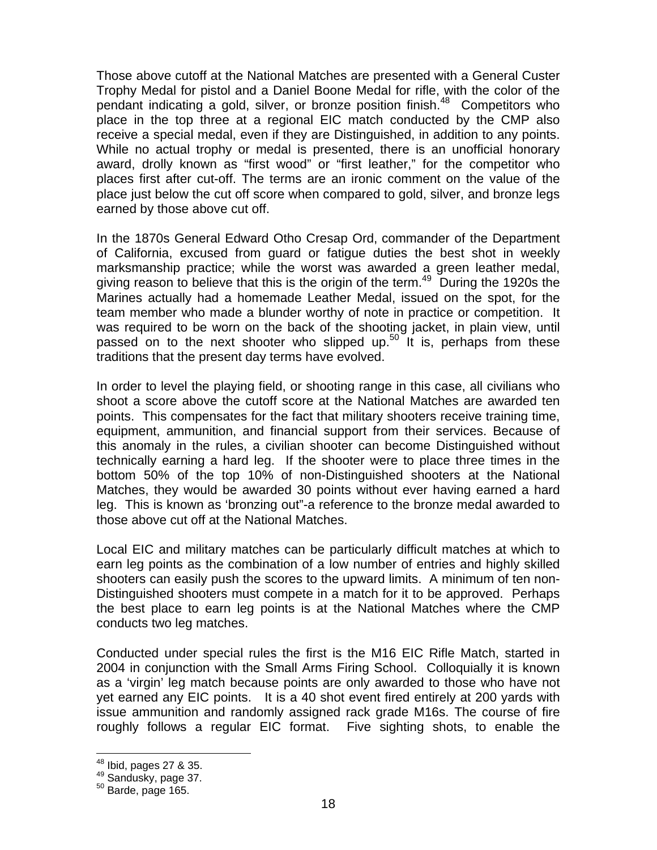Those above cutoff at the National Matches are presented with a General Custer Trophy Medal for pistol and a Daniel Boone Medal for rifle, with the color of the pendant indicating a gold, silver, or bronze position finish. $48$  Competitors who place in the top three at a regional EIC match conducted by the CMP also receive a special medal, even if they are Distinguished, in addition to any points. While no actual trophy or medal is presented, there is an unofficial honorary award, drolly known as "first wood" or "first leather," for the competitor who places first after cut-off. The terms are an ironic comment on the value of the place just below the cut off score when compared to gold, silver, and bronze legs earned by those above cut off.

In the 1870s General Edward Otho Cresap Ord, commander of the Department of California, excused from guard or fatigue duties the best shot in weekly marksmanship practice; while the worst was awarded a green leather medal, giving reason to believe that this is the origin of the term.<sup>49</sup> During the 1920s the Marines actually had a homemade Leather Medal, issued on the spot, for the team member who made a blunder worthy of note in practice or competition. It was required to be worn on the back of the shooting jacket, in plain view, until passed on to the next shooter who slipped up.<sup>50</sup> It is, perhaps from these traditions that the present day terms have evolved.

In order to level the playing field, or shooting range in this case, all civilians who shoot a score above the cutoff score at the National Matches are awarded ten points. This compensates for the fact that military shooters receive training time, equipment, ammunition, and financial support from their services. Because of this anomaly in the rules, a civilian shooter can become Distinguished without technically earning a hard leg. If the shooter were to place three times in the bottom 50% of the top 10% of non-Distinguished shooters at the National Matches, they would be awarded 30 points without ever having earned a hard leg. This is known as 'bronzing out"-a reference to the bronze medal awarded to those above cut off at the National Matches.

Local EIC and military matches can be particularly difficult matches at which to earn leg points as the combination of a low number of entries and highly skilled shooters can easily push the scores to the upward limits. A minimum of ten non-Distinguished shooters must compete in a match for it to be approved. Perhaps the best place to earn leg points is at the National Matches where the CMP conducts two leg matches.

Conducted under special rules the first is the M16 EIC Rifle Match, started in 2004 in conjunction with the Small Arms Firing School. Colloquially it is known as a 'virgin' leg match because points are only awarded to those who have not yet earned any EIC points. It is a 40 shot event fired entirely at 200 yards with issue ammunition and randomly assigned rack grade M16s. The course of fire roughly follows a regular EIC format. Five sighting shots, to enable the

 $\overline{a}$ 

<sup>&</sup>lt;sup>48</sup> Ibid, pages 27 & 35.<br><sup>49</sup> Sandusky, page 37.<br><sup>50</sup> Barde, page 165.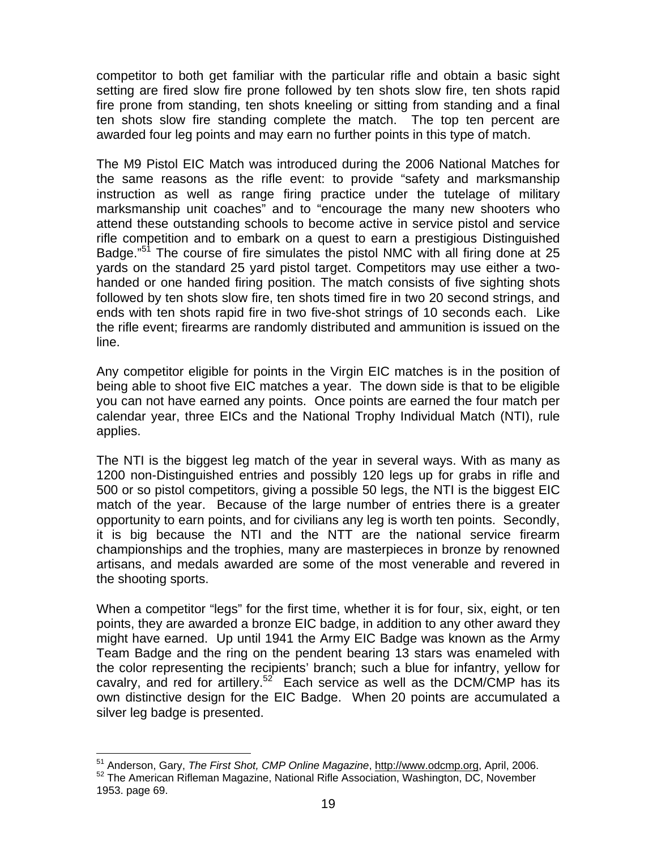competitor to both get familiar with the particular rifle and obtain a basic sight setting are fired slow fire prone followed by ten shots slow fire, ten shots rapid fire prone from standing, ten shots kneeling or sitting from standing and a final ten shots slow fire standing complete the match. The top ten percent are awarded four leg points and may earn no further points in this type of match.

The M9 Pistol EIC Match was introduced during the 2006 National Matches for the same reasons as the rifle event: to provide "safety and marksmanship instruction as well as range firing practice under the tutelage of military marksmanship unit coaches" and to "encourage the many new shooters who attend these outstanding schools to become active in service pistol and service rifle competition and to embark on a quest to earn a prestigious Distinguished Badge."<sup>51</sup> The course of fire simulates the pistol NMC with all firing done at 25 yards on the standard 25 yard pistol target. Competitors may use either a twohanded or one handed firing position. The match consists of five sighting shots followed by ten shots slow fire, ten shots timed fire in two 20 second strings, and ends with ten shots rapid fire in two five-shot strings of 10 seconds each. Like the rifle event; firearms are randomly distributed and ammunition is issued on the line.

Any competitor eligible for points in the Virgin EIC matches is in the position of being able to shoot five EIC matches a year. The down side is that to be eligible you can not have earned any points. Once points are earned the four match per calendar year, three EICs and the National Trophy Individual Match (NTI), rule applies.

The NTI is the biggest leg match of the year in several ways. With as many as 1200 non-Distinguished entries and possibly 120 legs up for grabs in rifle and 500 or so pistol competitors, giving a possible 50 legs, the NTI is the biggest EIC match of the year. Because of the large number of entries there is a greater opportunity to earn points, and for civilians any leg is worth ten points. Secondly, it is big because the NTI and the NTT are the national service firearm championships and the trophies, many are masterpieces in bronze by renowned artisans, and medals awarded are some of the most venerable and revered in the shooting sports.

When a competitor "legs" for the first time, whether it is for four, six, eight, or ten points, they are awarded a bronze EIC badge, in addition to any other award they might have earned. Up until 1941 the Army EIC Badge was known as the Army Team Badge and the ring on the pendent bearing 13 stars was enameled with the color representing the recipients' branch; such a blue for infantry, yellow for cavalry, and red for artillery.<sup>52</sup> Each service as well as the DCM/CMP has its own distinctive design for the EIC Badge. When 20 points are accumulated a silver leg badge is presented.

 $\overline{a}$ 

<sup>&</sup>lt;sup>51</sup> Anderson, Gary, *The First Shot, CMP Online Magazine*, <u>http://www.odcmp.org</u>, April, 2006.<br><sup>52</sup> The American Rifleman Magazine, National Rifle Association, Washington, DC, November

<sup>1953.</sup> page 69.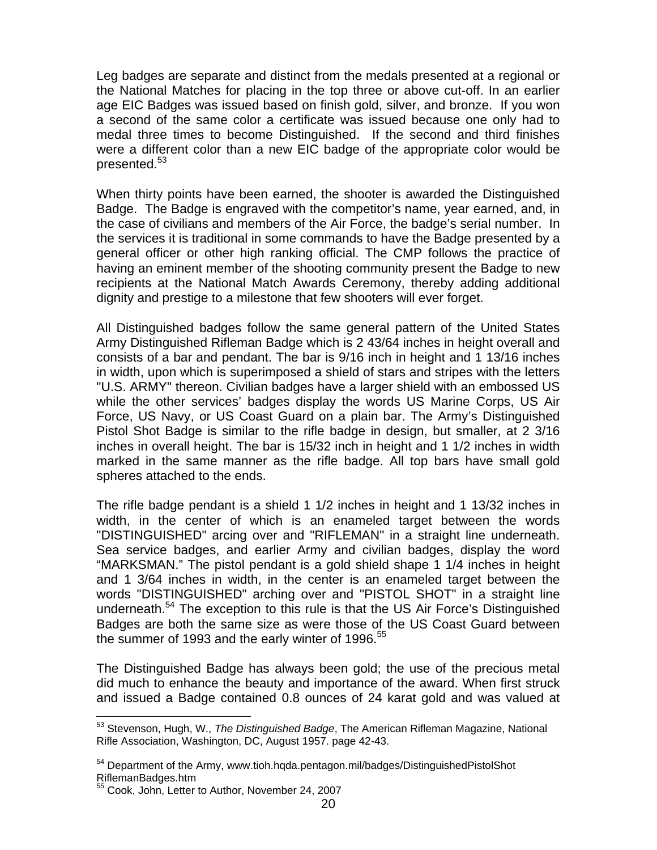Leg badges are separate and distinct from the medals presented at a regional or the National Matches for placing in the top three or above cut-off. In an earlier age EIC Badges was issued based on finish gold, silver, and bronze. If you won a second of the same color a certificate was issued because one only had to medal three times to become Distinguished. If the second and third finishes were a different color than a new EIC badge of the appropriate color would be presented.<sup>53</sup>

When thirty points have been earned, the shooter is awarded the Distinguished Badge. The Badge is engraved with the competitor's name, year earned, and, in the case of civilians and members of the Air Force, the badge's serial number. In the services it is traditional in some commands to have the Badge presented by a general officer or other high ranking official. The CMP follows the practice of having an eminent member of the shooting community present the Badge to new recipients at the National Match Awards Ceremony, thereby adding additional dignity and prestige to a milestone that few shooters will ever forget.

All Distinguished badges follow the same general pattern of the United States Army Distinguished Rifleman Badge which is 2 43/64 inches in height overall and consists of a bar and pendant. The bar is 9/16 inch in height and 1 13/16 inches in width, upon which is superimposed a shield of stars and stripes with the letters "U.S. ARMY" thereon. Civilian badges have a larger shield with an embossed US while the other services' badges display the words US Marine Corps, US Air Force, US Navy, or US Coast Guard on a plain bar. The Army's Distinguished Pistol Shot Badge is similar to the rifle badge in design, but smaller, at 2 3/16 inches in overall height. The bar is 15/32 inch in height and 1 1/2 inches in width marked in the same manner as the rifle badge. All top bars have small gold spheres attached to the ends.

The rifle badge pendant is a shield 1 1/2 inches in height and 1 13/32 inches in width, in the center of which is an enameled target between the words "DISTINGUISHED" arcing over and "RIFLEMAN" in a straight line underneath. Sea service badges, and earlier Army and civilian badges, display the word "MARKSMAN." The pistol pendant is a gold shield shape 1 1/4 inches in height and 1 3/64 inches in width, in the center is an enameled target between the words "DISTINGUISHED" arching over and "PISTOL SHOT" in a straight line underneath.<sup>54</sup> The exception to this rule is that the US Air Force's Distinguished Badges are both the same size as were those of the US Coast Guard between the summer of 1993 and the early winter of 1996.<sup>55</sup>

The Distinguished Badge has always been gold; the use of the precious metal did much to enhance the beauty and importance of the award. When first struck and issued a Badge contained 0.8 ounces of 24 karat gold and was valued at

 $\overline{a}$ 53 Stevenson, Hugh, W., *The Distinguished Badge*, The American Rifleman Magazine, National Rifle Association, Washington, DC, August 1957. page 42-43.

<sup>54</sup> Department of the Army, www.tioh.hqda.pentagon.mil/badges/DistinguishedPistolShot RiflemanBadges.htm

<sup>55</sup> Cook, John, Letter to Author, November 24, 2007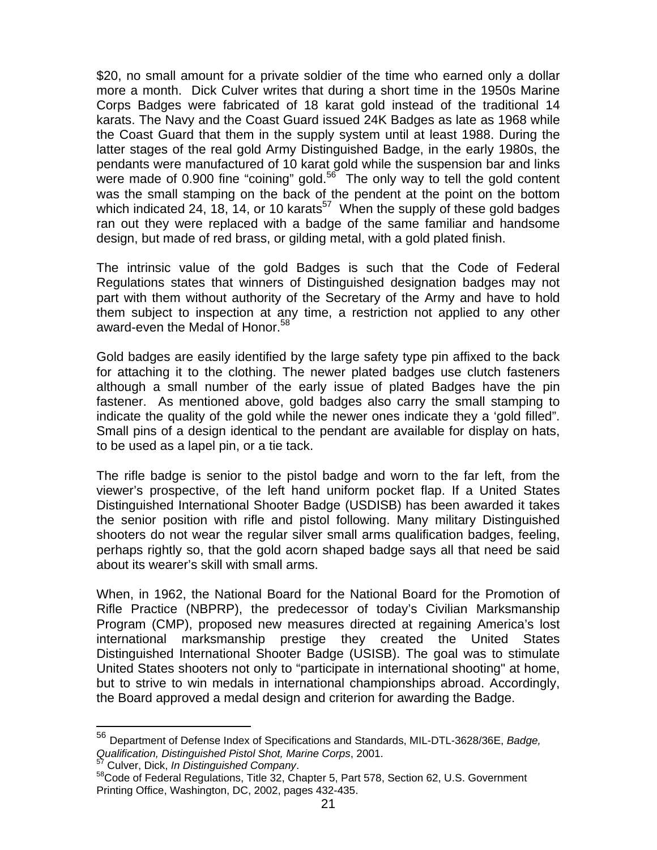\$20, no small amount for a private soldier of the time who earned only a dollar more a month. Dick Culver writes that during a short time in the 1950s Marine Corps Badges were fabricated of 18 karat gold instead of the traditional 14 karats. The Navy and the Coast Guard issued 24K Badges as late as 1968 while the Coast Guard that them in the supply system until at least 1988. During the latter stages of the real gold Army Distinguished Badge, in the early 1980s, the pendants were manufactured of 10 karat gold while the suspension bar and links were made of 0.900 fine "coining" gold.<sup>56</sup> The only way to tell the gold content was the small stamping on the back of the pendent at the point on the bottom which indicated 24, 18, 14, or 10 karats<sup>57</sup> When the supply of these gold badges ran out they were replaced with a badge of the same familiar and handsome design, but made of red brass, or gilding metal, with a gold plated finish.

The intrinsic value of the gold Badges is such that the Code of Federal Regulations states that winners of Distinguished designation badges may not part with them without authority of the Secretary of the Army and have to hold them subject to inspection at any time, a restriction not applied to any other award-even the Medal of Honor.<sup>58</sup>

Gold badges are easily identified by the large safety type pin affixed to the back for attaching it to the clothing. The newer plated badges use clutch fasteners although a small number of the early issue of plated Badges have the pin fastener. As mentioned above, gold badges also carry the small stamping to indicate the quality of the gold while the newer ones indicate they a 'gold filled". Small pins of a design identical to the pendant are available for display on hats, to be used as a lapel pin, or a tie tack.

The rifle badge is senior to the pistol badge and worn to the far left, from the viewer's prospective, of the left hand uniform pocket flap. If a United States Distinguished International Shooter Badge (USDISB) has been awarded it takes the senior position with rifle and pistol following. Many military Distinguished shooters do not wear the regular silver small arms qualification badges, feeling, perhaps rightly so, that the gold acorn shaped badge says all that need be said about its wearer's skill with small arms.

When, in 1962, the National Board for the National Board for the Promotion of Rifle Practice (NBPRP), the predecessor of today's Civilian Marksmanship Program (CMP), proposed new measures directed at regaining America's lost international marksmanship prestige they created the United States Distinguished International Shooter Badge (USISB). The goal was to stimulate United States shooters not only to "participate in international shooting" at home, but to strive to win medals in international championships abroad. Accordingly, the Board approved a medal design and criterion for awarding the Badge.

 $\overline{a}$ 

<sup>56</sup> Department of Defense Index of Specifications and Standards, MIL-DTL-3628/36E, *Badge, Qualification, Distinguished Pistol Shot, Marine Corps, 2001.*<br><sup>57</sup> Culver, Dick, *In Distinguished Company*.

<sup>&</sup>lt;sup>58</sup> Code of Federal Regulations, Title 32, Chapter 5, Part 578, Section 62, U.S. Government Printing Office, Washington, DC, 2002, pages 432-435.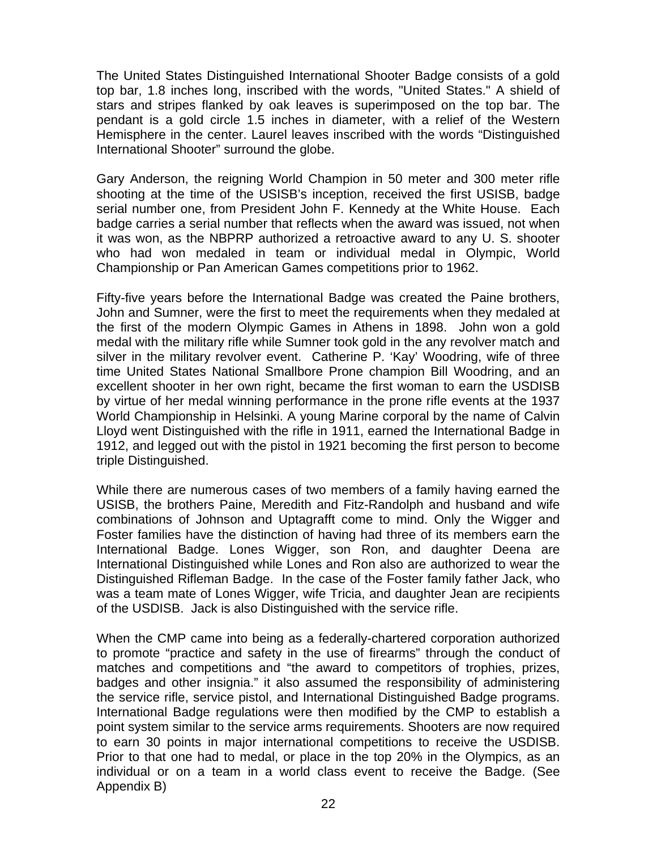The United States Distinguished International Shooter Badge consists of a gold top bar, 1.8 inches long, inscribed with the words, "United States." A shield of stars and stripes flanked by oak leaves is superimposed on the top bar. The pendant is a gold circle 1.5 inches in diameter, with a relief of the Western Hemisphere in the center. Laurel leaves inscribed with the words "Distinguished International Shooter" surround the globe.

Gary Anderson, the reigning World Champion in 50 meter and 300 meter rifle shooting at the time of the USISB's inception, received the first USISB, badge serial number one, from President John F. Kennedy at the White House. Each badge carries a serial number that reflects when the award was issued, not when it was won, as the NBPRP authorized a retroactive award to any U. S. shooter who had won medaled in team or individual medal in Olympic, World Championship or Pan American Games competitions prior to 1962.

Fifty-five years before the International Badge was created the Paine brothers, John and Sumner, were the first to meet the requirements when they medaled at the first of the modern Olympic Games in Athens in 1898. John won a gold medal with the military rifle while Sumner took gold in the any revolver match and silver in the military revolver event. Catherine P. 'Kay' Woodring, wife of three time United States National Smallbore Prone champion Bill Woodring, and an excellent shooter in her own right, became the first woman to earn the USDISB by virtue of her medal winning performance in the prone rifle events at the 1937 World Championship in Helsinki. A young Marine corporal by the name of Calvin Lloyd went Distinguished with the rifle in 1911, earned the International Badge in 1912, and legged out with the pistol in 1921 becoming the first person to become triple Distinguished.

While there are numerous cases of two members of a family having earned the USISB, the brothers Paine, Meredith and Fitz-Randolph and husband and wife combinations of Johnson and Uptagrafft come to mind. Only the Wigger and Foster families have the distinction of having had three of its members earn the International Badge. Lones Wigger, son Ron, and daughter Deena are International Distinguished while Lones and Ron also are authorized to wear the Distinguished Rifleman Badge. In the case of the Foster family father Jack, who was a team mate of Lones Wigger, wife Tricia, and daughter Jean are recipients of the USDISB. Jack is also Distinguished with the service rifle.

When the CMP came into being as a federally-chartered corporation authorized to promote "practice and safety in the use of firearms" through the conduct of matches and competitions and "the award to competitors of trophies, prizes, badges and other insignia." it also assumed the responsibility of administering the service rifle, service pistol, and International Distinguished Badge programs. International Badge regulations were then modified by the CMP to establish a point system similar to the service arms requirements. Shooters are now required to earn 30 points in major international competitions to receive the USDISB. Prior to that one had to medal, or place in the top 20% in the Olympics, as an individual or on a team in a world class event to receive the Badge. (See Appendix B)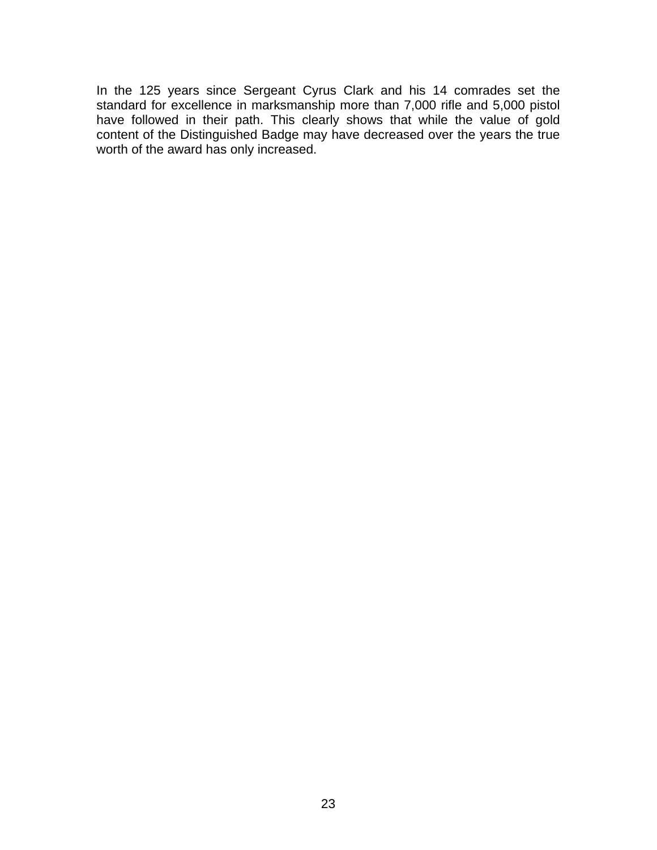In the 125 years since Sergeant Cyrus Clark and his 14 comrades set the standard for excellence in marksmanship more than 7,000 rifle and 5,000 pistol have followed in their path. This clearly shows that while the value of gold content of the Distinguished Badge may have decreased over the years the true worth of the award has only increased.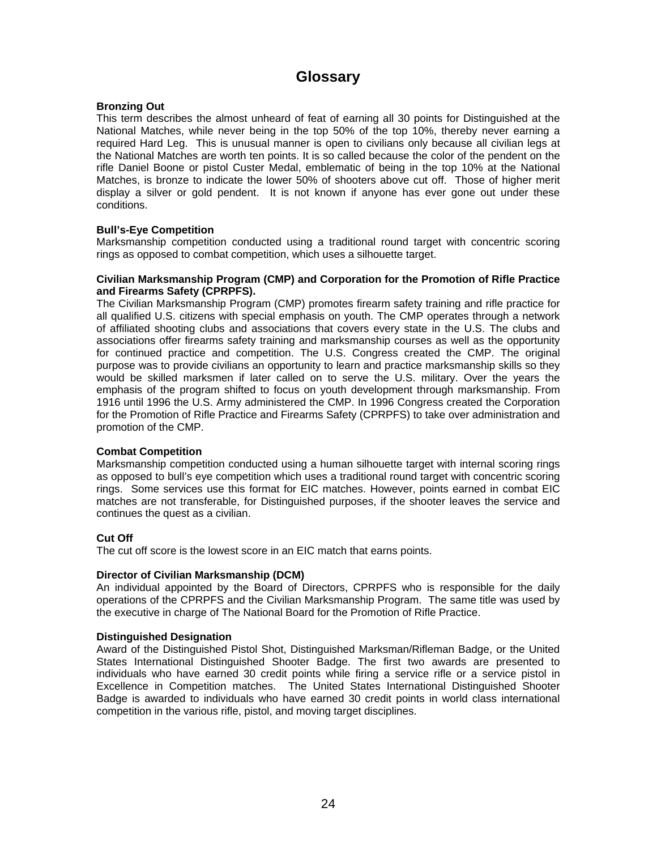# **Glossary**

## **Bronzing Out**

This term describes the almost unheard of feat of earning all 30 points for Distinguished at the National Matches, while never being in the top 50% of the top 10%, thereby never earning a required Hard Leg. This is unusual manner is open to civilians only because all civilian legs at the National Matches are worth ten points. It is so called because the color of the pendent on the rifle Daniel Boone or pistol Custer Medal, emblematic of being in the top 10% at the National Matches, is bronze to indicate the lower 50% of shooters above cut off. Those of higher merit display a silver or gold pendent. It is not known if anyone has ever gone out under these conditions.

## **Bull's-Eye Competition**

Marksmanship competition conducted using a traditional round target with concentric scoring rings as opposed to combat competition, which uses a silhouette target.

### **Civilian Marksmanship Program (CMP) and Corporation for the Promotion of Rifle Practice and Firearms Safety (CPRPFS).**

The Civilian Marksmanship Program (CMP) promotes firearm safety training and rifle practice for all qualified U.S. citizens with special emphasis on youth. The CMP operates through a network of affiliated shooting clubs and associations that covers every state in the U.S. The clubs and associations offer firearms safety training and marksmanship courses as well as the opportunity for continued practice and competition. The U.S. Congress created the CMP. The original purpose was to provide civilians an opportunity to learn and practice marksmanship skills so they would be skilled marksmen if later called on to serve the U.S. military. Over the years the emphasis of the program shifted to focus on youth development through marksmanship. From 1916 until 1996 the U.S. Army administered the CMP. In 1996 Congress created the Corporation for the Promotion of Rifle Practice and Firearms Safety (CPRPFS) to take over administration and promotion of the CMP.

## **Combat Competition**

Marksmanship competition conducted using a human silhouette target with internal scoring rings as opposed to bull's eye competition which uses a traditional round target with concentric scoring rings. Some services use this format for EIC matches. However, points earned in combat EIC matches are not transferable, for Distinguished purposes, if the shooter leaves the service and continues the quest as a civilian.

## **Cut Off**

The cut off score is the lowest score in an EIC match that earns points.

## **Director of Civilian Marksmanship (DCM)**

An individual appointed by the Board of Directors, CPRPFS who is responsible for the daily operations of the CPRPFS and the Civilian Marksmanship Program. The same title was used by the executive in charge of The National Board for the Promotion of Rifle Practice.

## **Distinguished Designation**

Award of the Distinguished Pistol Shot, Distinguished Marksman/Rifleman Badge, or the United States International Distinguished Shooter Badge. The first two awards are presented to individuals who have earned 30 credit points while firing a service rifle or a service pistol in Excellence in Competition matches. The United States International Distinguished Shooter Badge is awarded to individuals who have earned 30 credit points in world class international competition in the various rifle, pistol, and moving target disciplines.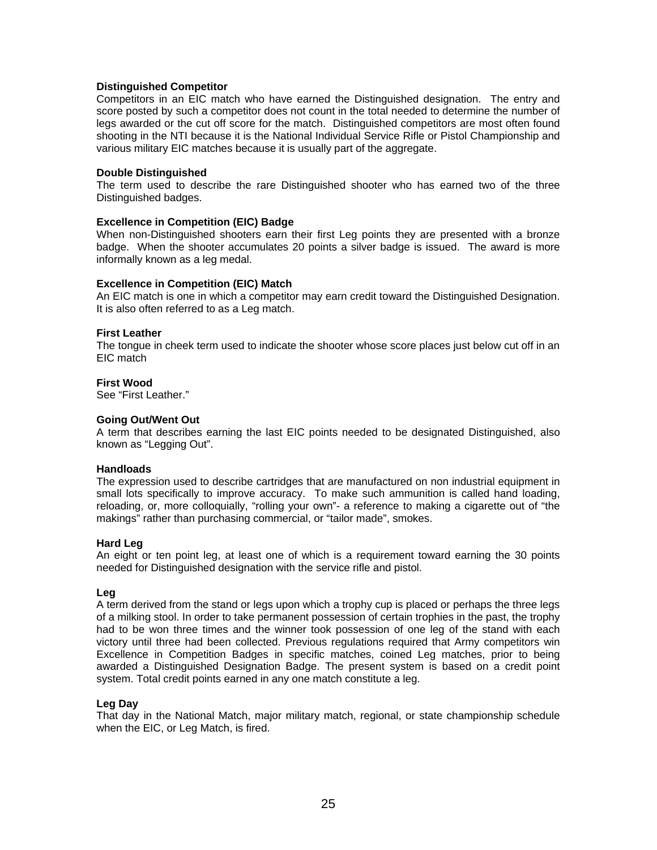## **Distinguished Competitor**

Competitors in an EIC match who have earned the Distinguished designation. The entry and score posted by such a competitor does not count in the total needed to determine the number of legs awarded or the cut off score for the match. Distinguished competitors are most often found shooting in the NTI because it is the National Individual Service Rifle or Pistol Championship and various military EIC matches because it is usually part of the aggregate.

### **Double Distinguished**

The term used to describe the rare Distinguished shooter who has earned two of the three Distinguished badges.

### **Excellence in Competition (EIC) Badge**

When non-Distinguished shooters earn their first Leg points they are presented with a bronze badge. When the shooter accumulates 20 points a silver badge is issued. The award is more informally known as a leg medal.

### **Excellence in Competition (EIC) Match**

An EIC match is one in which a competitor may earn credit toward the Distinguished Designation. It is also often referred to as a Leg match.

### **First Leather**

The tongue in cheek term used to indicate the shooter whose score places just below cut off in an EIC match

#### **First Wood**

See "First Leather."

### **Going Out/Went Out**

A term that describes earning the last EIC points needed to be designated Distinguished, also known as "Legging Out".

#### **Handloads**

The expression used to describe cartridges that are manufactured on non industrial equipment in small lots specifically to improve accuracy. To make such ammunition is called hand loading, reloading, or, more colloquially, "rolling your own"- a reference to making a cigarette out of "the makings" rather than purchasing commercial, or "tailor made", smokes.

#### **Hard Leg**

An eight or ten point leg, at least one of which is a requirement toward earning the 30 points needed for Distinguished designation with the service rifle and pistol.

## **Leg**

A term derived from the stand or legs upon which a trophy cup is placed or perhaps the three legs of a milking stool. In order to take permanent possession of certain trophies in the past, the trophy had to be won three times and the winner took possession of one leg of the stand with each victory until three had been collected. Previous regulations required that Army competitors win Excellence in Competition Badges in specific matches, coined Leg matches, prior to being awarded a Distinguished Designation Badge. The present system is based on a credit point system. Total credit points earned in any one match constitute a leg.

### **Leg Day**

That day in the National Match, major military match, regional, or state championship schedule when the EIC, or Leg Match, is fired.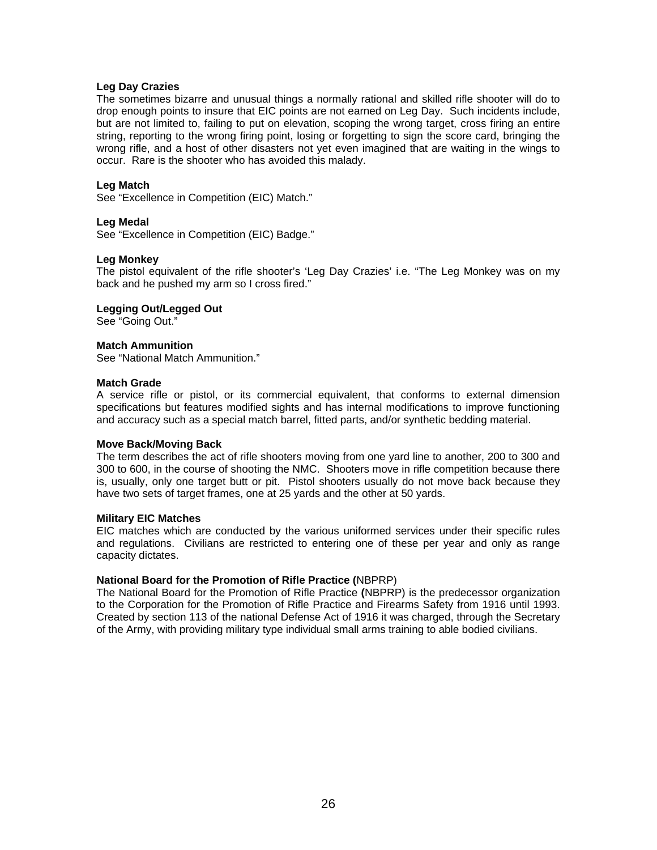## **Leg Day Crazies**

The sometimes bizarre and unusual things a normally rational and skilled rifle shooter will do to drop enough points to insure that EIC points are not earned on Leg Day. Such incidents include, but are not limited to, failing to put on elevation, scoping the wrong target, cross firing an entire string, reporting to the wrong firing point, losing or forgetting to sign the score card, bringing the wrong rifle, and a host of other disasters not yet even imagined that are waiting in the wings to occur. Rare is the shooter who has avoided this malady.

## **Leg Match**

See "Excellence in Competition (EIC) Match."

## **Leg Medal**

See "Excellence in Competition (EIC) Badge."

## **Leg Monkey**

The pistol equivalent of the rifle shooter's 'Leg Day Crazies' i.e. "The Leg Monkey was on my back and he pushed my arm so I cross fired."

## **Legging Out/Legged Out**

See "Going Out."

## **Match Ammunition**

See "National Match Ammunition."

### **Match Grade**

A service rifle or pistol, or its commercial equivalent, that conforms to external dimension specifications but features modified sights and has internal modifications to improve functioning and accuracy such as a special match barrel, fitted parts, and/or synthetic bedding material.

## **Move Back/Moving Back**

The term describes the act of rifle shooters moving from one yard line to another, 200 to 300 and 300 to 600, in the course of shooting the NMC. Shooters move in rifle competition because there is, usually, only one target butt or pit. Pistol shooters usually do not move back because they have two sets of target frames, one at 25 yards and the other at 50 yards.

## **Military EIC Matches**

EIC matches which are conducted by the various uniformed services under their specific rules and regulations. Civilians are restricted to entering one of these per year and only as range capacity dictates.

## **National Board for the Promotion of Rifle Practice (**NBPRP)

The National Board for the Promotion of Rifle Practice **(**NBPRP) is the predecessor organization to the Corporation for the Promotion of Rifle Practice and Firearms Safety from 1916 until 1993. Created by section 113 of the national Defense Act of 1916 it was charged, through the Secretary of the Army, with providing military type individual small arms training to able bodied civilians.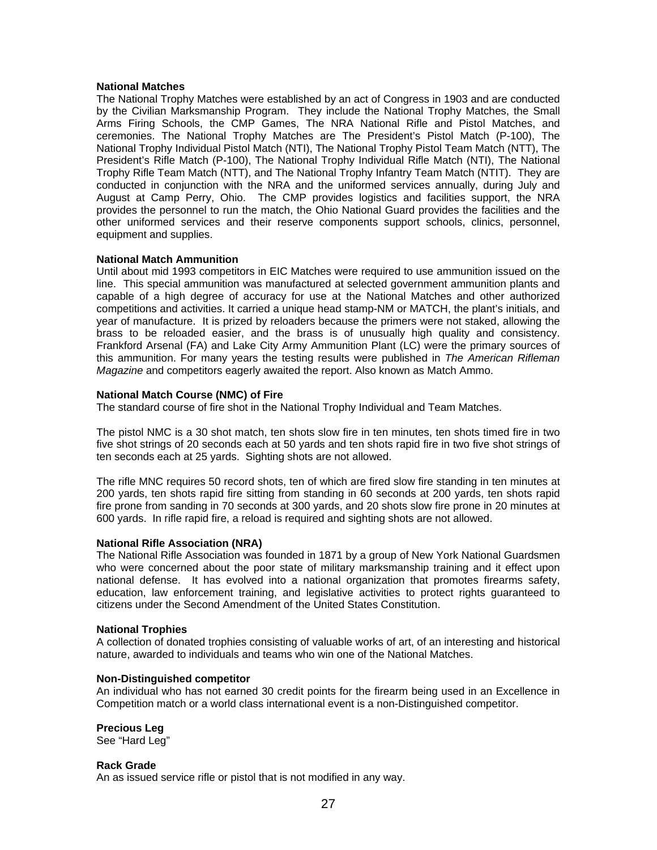### **National Matches**

The National Trophy Matches were established by an act of Congress in 1903 and are conducted by the Civilian Marksmanship Program. They include the National Trophy Matches, the Small Arms Firing Schools, the CMP Games, The NRA National Rifle and Pistol Matches, and ceremonies. The National Trophy Matches are The President's Pistol Match (P-100), The National Trophy Individual Pistol Match (NTI), The National Trophy Pistol Team Match (NTT), The President's Rifle Match (P-100), The National Trophy Individual Rifle Match (NTI), The National Trophy Rifle Team Match (NTT), and The National Trophy Infantry Team Match (NTIT). They are conducted in conjunction with the NRA and the uniformed services annually, during July and August at Camp Perry, Ohio. The CMP provides logistics and facilities support, the NRA provides the personnel to run the match, the Ohio National Guard provides the facilities and the other uniformed services and their reserve components support schools, clinics, personnel, equipment and supplies.

## **National Match Ammunition**

Until about mid 1993 competitors in EIC Matches were required to use ammunition issued on the line. This special ammunition was manufactured at selected government ammunition plants and capable of a high degree of accuracy for use at the National Matches and other authorized competitions and activities. It carried a unique head stamp-NM or MATCH, the plant's initials, and year of manufacture. It is prized by reloaders because the primers were not staked, allowing the brass to be reloaded easier, and the brass is of unusually high quality and consistency. Frankford Arsenal (FA) and Lake City Army Ammunition Plant (LC) were the primary sources of this ammunition. For many years the testing results were published in *The American Rifleman Magazine* and competitors eagerly awaited the report. Also known as Match Ammo.

### **National Match Course (NMC) of Fire**

The standard course of fire shot in the National Trophy Individual and Team Matches.

The pistol NMC is a 30 shot match, ten shots slow fire in ten minutes, ten shots timed fire in two five shot strings of 20 seconds each at 50 yards and ten shots rapid fire in two five shot strings of ten seconds each at 25 yards. Sighting shots are not allowed.

The rifle MNC requires 50 record shots, ten of which are fired slow fire standing in ten minutes at 200 yards, ten shots rapid fire sitting from standing in 60 seconds at 200 yards, ten shots rapid fire prone from sanding in 70 seconds at 300 yards, and 20 shots slow fire prone in 20 minutes at 600 yards. In rifle rapid fire, a reload is required and sighting shots are not allowed.

#### **National Rifle Association (NRA)**

The National Rifle Association was founded in 1871 by a group of New York National Guardsmen who were concerned about the poor state of military marksmanship training and it effect upon national defense. It has evolved into a national organization that promotes firearms safety, education, law enforcement training, and legislative activities to protect rights guaranteed to citizens under the Second Amendment of the United States Constitution.

## **National Trophies**

A collection of donated trophies consisting of valuable works of art, of an interesting and historical nature, awarded to individuals and teams who win one of the National Matches.

### **Non-Distinguished competitor**

An individual who has not earned 30 credit points for the firearm being used in an Excellence in Competition match or a world class international event is a non-Distinguished competitor.

## **Precious Leg**

See "Hard Leg"

## **Rack Grade**

An as issued service rifle or pistol that is not modified in any way.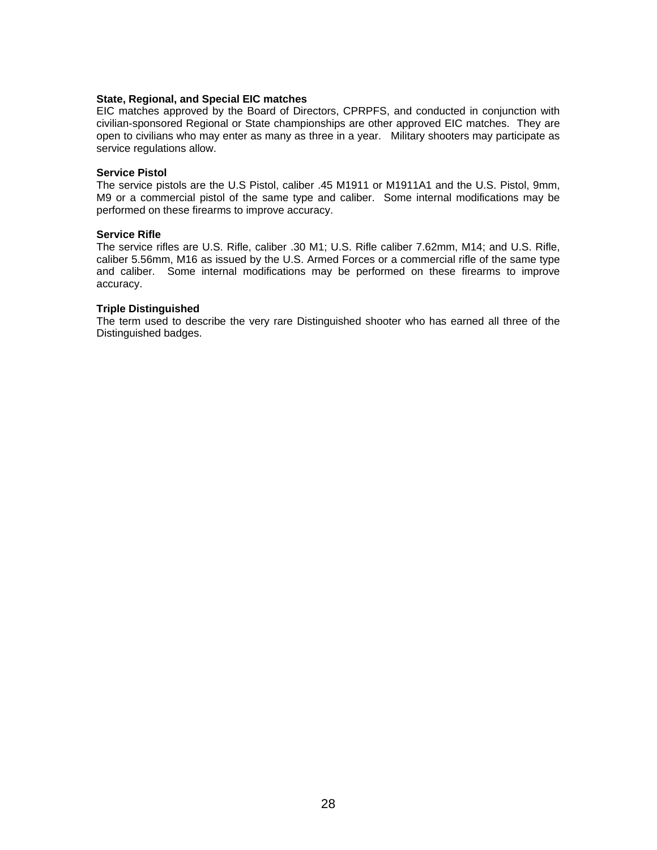### **State, Regional, and Special EIC matches**

EIC matches approved by the Board of Directors, CPRPFS, and conducted in conjunction with civilian-sponsored Regional or State championships are other approved EIC matches. They are open to civilians who may enter as many as three in a year. Military shooters may participate as service regulations allow.

### **Service Pistol**

The service pistols are the U.S Pistol, caliber .45 M1911 or M1911A1 and the U.S. Pistol, 9mm, M9 or a commercial pistol of the same type and caliber. Some internal modifications may be performed on these firearms to improve accuracy.

### **Service Rifle**

The service rifles are U.S. Rifle, caliber .30 M1; U.S. Rifle caliber 7.62mm, M14; and U.S. Rifle, caliber 5.56mm, M16 as issued by the U.S. Armed Forces or a commercial rifle of the same type and caliber. Some internal modifications may be performed on these firearms to improve accuracy.

### **Triple Distinguished**

The term used to describe the very rare Distinguished shooter who has earned all three of the Distinguished badges.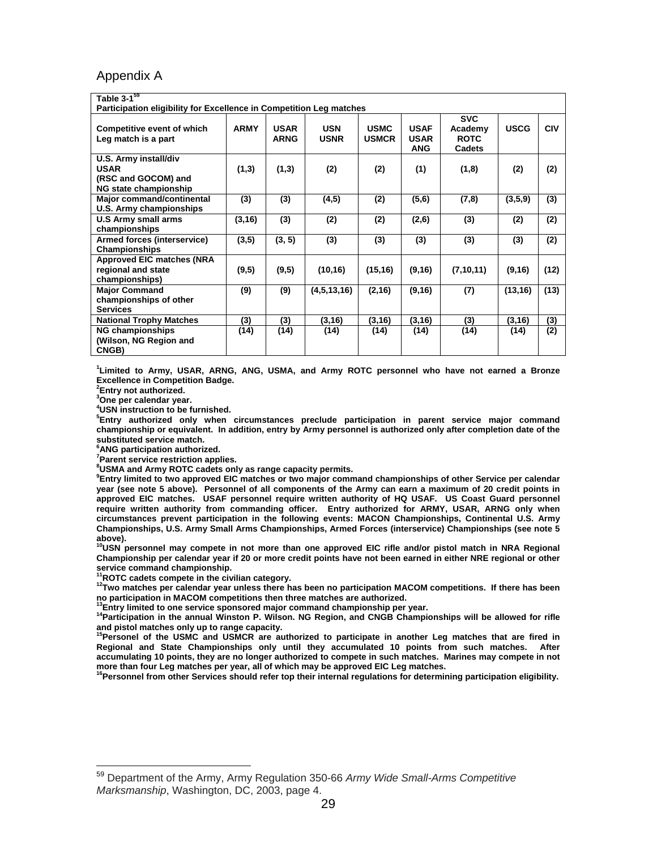## Appendix A

| Table $3-1^{59}$<br>Participation eligibility for Excellence in Competition Leg matches |             |                            |                           |                             |                                          |                                                |             |            |
|-----------------------------------------------------------------------------------------|-------------|----------------------------|---------------------------|-----------------------------|------------------------------------------|------------------------------------------------|-------------|------------|
| <b>Competitive event of which</b><br>Leg match is a part                                | <b>ARMY</b> | <b>USAR</b><br><b>ARNG</b> | <b>USN</b><br><b>USNR</b> | <b>USMC</b><br><b>USMCR</b> | <b>USAF</b><br><b>USAR</b><br><b>ANG</b> | <b>SVC</b><br>Academy<br><b>ROTC</b><br>Cadets | <b>USCG</b> | <b>CIV</b> |
| U.S. Army install/div<br><b>USAR</b><br>(RSC and GOCOM) and<br>NG state championship    | (1,3)       | (1,3)                      | (2)                       | (2)                         | (1)                                      | (1,8)                                          | (2)         | (2)        |
| <b>Major command/continental</b><br>U.S. Army championships                             | (3)         | (3)                        | (4, 5)                    | (2)                         | (5,6)                                    | (7,8)                                          | (3,5,9)     | (3)        |
| U.S Army small arms<br>championships                                                    | (3, 16)     | (3)                        | (2)                       | (2)                         | (2,6)                                    | (3)                                            | (2)         | (2)        |
| Armed forces (interservice)<br>Championships                                            | (3,5)       | (3, 5)                     | (3)                       | (3)                         | (3)                                      | (3)                                            | (3)         | (2)        |
| <b>Approved EIC matches (NRA</b><br>regional and state<br>championships)                | (9,5)       | (9,5)                      | (10, 16)                  | (15, 16)                    | (9, 16)                                  | (7, 10, 11)                                    | (9,16)      | (12)       |
| <b>Major Command</b><br>championships of other<br><b>Services</b>                       | (9)         | (9)                        | (4,5,13,16)               | (2, 16)                     | (9, 16)                                  | (7)                                            | (13, 16)    | (13)       |
| <b>National Trophy Matches</b>                                                          | (3)         | (3)                        | (3, 16)                   | (3, 16)                     | (3, 16)                                  | (3)                                            | (3, 16)     | (3)        |
| <b>NG championships</b><br>(Wilson, NG Region and<br>CNGB)                              | (14)        | (14)                       | (14)                      | (14)                        | (14)                                     | (14)                                           | (14)        | (2)        |

**1 Limited to Army, USAR, ARNG, ANG, USMA, and Army ROTC personnel who have not earned a Bronze Excellence in Competition Badge.** 

**2 Entry not authorized.** 

 $\overline{a}$ 

**3 One per calendar year.** 

**4 USN instruction to be furnished.** 

**5 Entry authorized only when circumstances preclude participation in parent service major command championship or equivalent. In addition, entry by Army personnel is authorized only after completion date of the substituted service match.** 

**6 ANG participation authorized.** 

**7 Parent service restriction applies.** 

**8 USMA and Army ROTC cadets only as range capacity permits.** 

**9 Entry limited to two approved EIC matches or two major command championships of other Service per calendar year (see note 5 above). Personnel of all components of the Army can earn a maximum of 20 credit points in approved EIC matches. USAF personnel require written authority of HQ USAF. US Coast Guard personnel require written authority from commanding officer. Entry authorized for ARMY, USAR, ARNG only when circumstances prevent participation in the following events: MACON Championships, Continental U.S. Army Championships, U.S. Army Small Arms Championships, Armed Forces (interservice) Championships (see note 5** 

above).<br><sup>10</sup>USN personnel may compete in not more than one approved EIC rifle and/or pistol match in NRA Regional **Championship per calendar year if 20 or more credit points have not been earned in either NRE regional or other service command championship.**<br>
<sup>11</sup>ROTC cadets compete in the civilian category.

<sup>12</sup>Two matches per calendar year unless there has been no participation MACOM competitions. If there has been **no participation in MACOM competitions then three matches are authorized.** 

14Participation in the annual Winston P. Wilson. NG Region, and CNGB Championships will be allowed for rifle

and pistol matches only up to range capacity.<br><sup>15</sup>Personel of the USMC and USMCR are authorized to participate in another Leg matches that are fired in **Regional and State Championships only until they accumulated 10 points from such matches. After accumulating 10 points, they are no longer authorized to compete in such matches. Marines may compete in not** 

more than four Leg matches per year, all of which may be approved EIC Leg matches.<br><sup>16</sup>Personnel from other Services should refer top their internal regulations for determining participation eligibility.

<sup>59</sup> Department of the Army, Army Regulation 350-66 *Army Wide Small-Arms Competitive Marksmanship*, Washington, DC, 2003, page 4.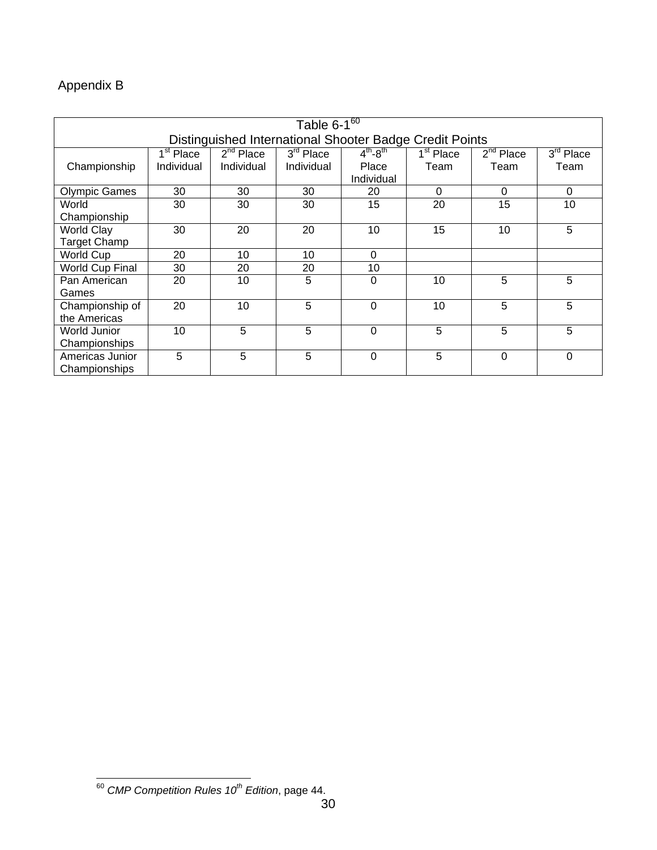# Appendix B

| Table $6-1^{60}$                                        |             |                       |             |                     |                       |             |             |
|---------------------------------------------------------|-------------|-----------------------|-------------|---------------------|-----------------------|-------------|-------------|
| Distinguished International Shooter Badge Credit Points |             |                       |             |                     |                       |             |             |
|                                                         | $1st$ Place | 2 <sup>nd</sup> Place | $3rd$ Place | $4^{th} - 8^{th}$   | 1 <sup>st</sup> Place | $2nd$ Place | $3rd$ Place |
| Championship                                            | Individual  | Individual            | Individual  | Place<br>Individual | Team                  | Team        | Team        |
| <b>Olympic Games</b>                                    | 30          | 30                    | 30          | 20                  | 0                     | $\Omega$    | 0           |
| World                                                   | 30          | 30                    | 30          | 15                  | 20                    | 15          | 10          |
| Championship                                            |             |                       |             |                     |                       |             |             |
| <b>World Clay</b>                                       | 30          | 20                    | 20          | 10                  | 15                    | 10          | 5           |
| <b>Target Champ</b>                                     |             |                       |             |                     |                       |             |             |
| World Cup                                               | 20          | 10                    | 10          | $\Omega$            |                       |             |             |
| World Cup Final                                         | 30          | 20                    | 20          | 10                  |                       |             |             |
| Pan American                                            | 20          | 10                    | 5           | 0                   | 10                    | 5           | 5           |
| Games                                                   |             |                       |             |                     |                       |             |             |
| Championship of                                         | 20          | 10                    | 5           | 0                   | 10                    | 5           | 5           |
| the Americas                                            |             |                       |             |                     |                       |             |             |
| World Junior                                            | 10          | 5                     | 5           | $\Omega$            | 5                     | 5           | 5           |
| Championships                                           |             |                       |             |                     |                       |             |             |
| Americas Junior                                         | 5           | 5                     | 5           | $\mathbf 0$         | 5                     | $\mathbf 0$ | $\mathbf 0$ |
| Championships                                           |             |                       |             |                     |                       |             |             |

 $\overline{a}$ <sup>60</sup> *CMP Competition Rules 10th Edition*, page 44.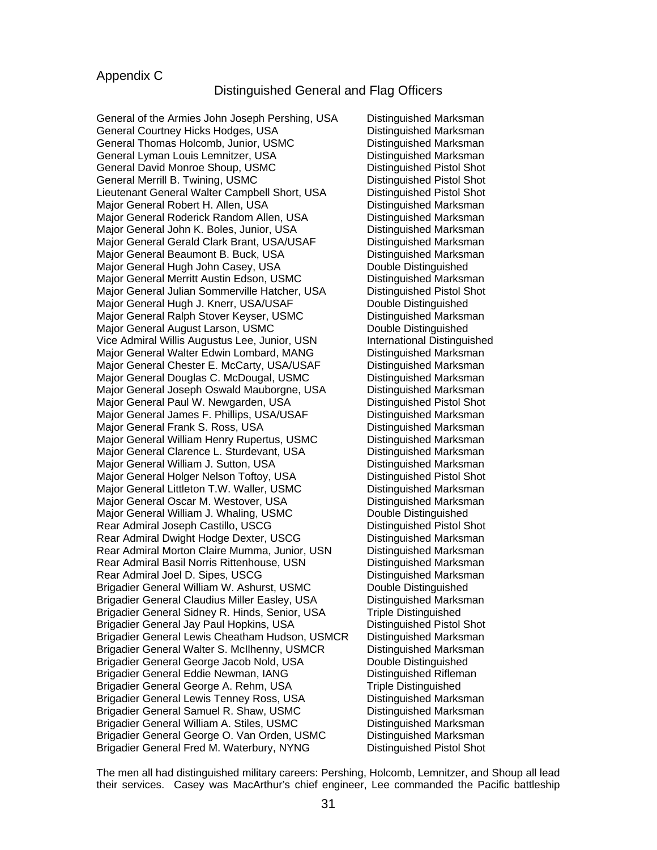## Appendix C

## Distinguished General and Flag Officers

General of the Armies John Joseph Pershing, USA Distinguished Marksman General Courtney Hicks Hodges, USA **Distinguished Marksman** General Thomas Holcomb, Junior, USMC **Distinguished Marksman** General Lyman Louis Lemnitzer, USA Communished Marksman General David Monroe Shoup, USMC **Distinguished Pistol Shot** General Merrill B. Twining, USMC **Distinguished Pistol Shot** Lieutenant General Walter Campbell Short, USA Distinguished Pistol Shot Major General Robert H. Allen, USA Distinguished Marksman Major General Roderick Random Allen, USA Distinguished Marksman Major General John K. Boles, Junior, USA Distinguished Marksman Major General Gerald Clark Brant, USA/USAF Distinguished Marksman Major General Beaumont B. Buck, USA Distinguished Marksman Major General Hugh John Casey, USA Double Distinguished Major General Merritt Austin Edson, USMC Distinguished Marksman Major General Julian Sommerville Hatcher, USA Distinguished Pistol Shot Major General Hugh J. Knerr, USA/USAF Double Distinguished Major General Ralph Stover Keyser, USMC Distinguished Marksman Major General August Larson, USMC Double Distinguished Vice Admiral Willis Augustus Lee, Junior, USN International Distinguished Major General Walter Edwin Lombard, MANG Distinguished Marksman Major General Chester E. McCarty, USA/USAF Distinguished Marksman Major General Douglas C. McDougal, USMC Distinguished Marksman Major General Joseph Oswald Mauborgne, USA Distinguished Marksman Major General Paul W. Newgarden, USA Distinguished Pistol Shot Major General James F. Phillips, USA/USAF Distinguished Marksman Major General Frank S. Ross, USA Distinguished Marksman Major General William Henry Rupertus, USMC Distinguished Marksman Major General Clarence L. Sturdevant, USA Distinguished Marksman Major General William J. Sutton, USA Distinguished Marksman Major General Holger Nelson Toftoy, USA Distinguished Pistol Shot Major General Littleton T.W. Waller, USMC Distinguished Marksman Major General Oscar M. Westover, USA Distinguished Marksman Major General William J. Whaling, USMC Double Distinguished Rear Admiral Joseph Castillo, USCG Distinguished Pistol Shot Rear Admiral Dwight Hodge Dexter, USCG Distinguished Marksman Rear Admiral Morton Claire Mumma, Junior, USN Distinguished Marksman Rear Admiral Basil Norris Rittenhouse, USN Distinguished Marksman Rear Admiral Joel D. Sipes, USCG Distinguished Marksman Brigadier General William W. Ashurst, USMC Double Distinguished Brigadier General Claudius Miller Easley, USA Distinguished Marksman Brigadier General Sidney R. Hinds, Senior, USA Triple Distinguished Brigadier General Jay Paul Hopkins, USA Distinguished Pistol Shot Brigadier General Lewis Cheatham Hudson, USMCR Distinguished Marksman Brigadier General Walter S. McIlhenny, USMCR Distinguished Marksman Brigadier General George Jacob Nold, USA Double Distinguished Brigadier General Eddie Newman, IANG Distinguished Rifleman Brigadier General George A. Rehm, USA Triple Distinguished Brigadier General Lewis Tenney Ross, USA Distinguished Marksman Brigadier General Samuel R. Shaw, USMC Distinguished Marksman Brigadier General William A. Stiles, USMC Distinguished Marksman Brigadier General George O. Van Orden, USMCDistinguished Marksman Brigadier General Fred M. Waterbury, NYNG Distinguished Pistol Shot

The men all had distinguished military careers: Pershing, Holcomb, Lemnitzer, and Shoup all lead their services. Casey was MacArthur's chief engineer, Lee commanded the Pacific battleship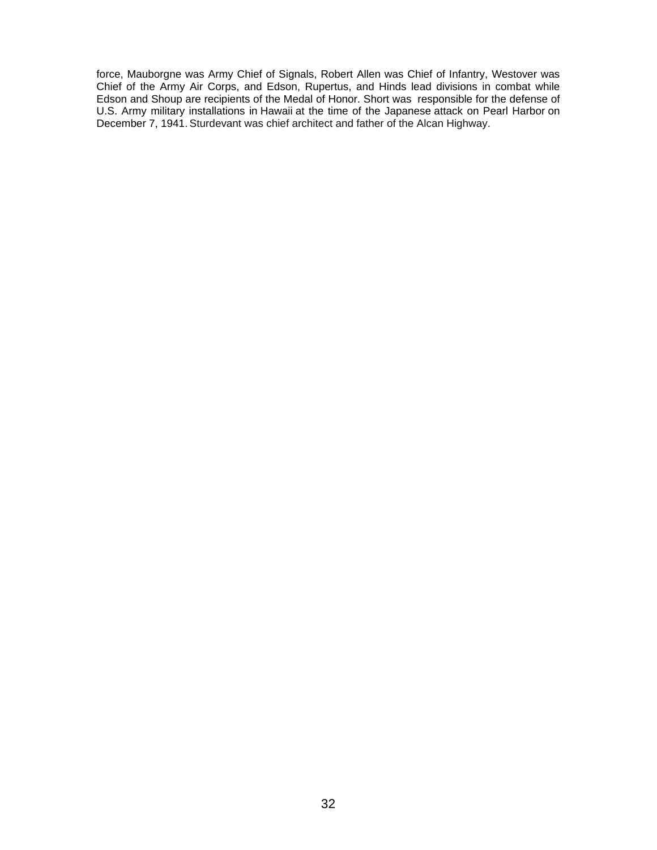force, Mauborgne was Army Chief of Signals, Robert Allen was Chief of Infantry, Westover was Chief of the Army Air Corps, and Edson, Rupertus, and Hinds lead divisions in combat while Edson and Shoup are recipients of the Medal of Honor. Short was responsible for the defense of U.S. Army military installations in Hawaii at the time of the Japanese attack on Pearl Harbor on December 7, 1941. Sturdevant was chief architect and father of the Alcan Highway.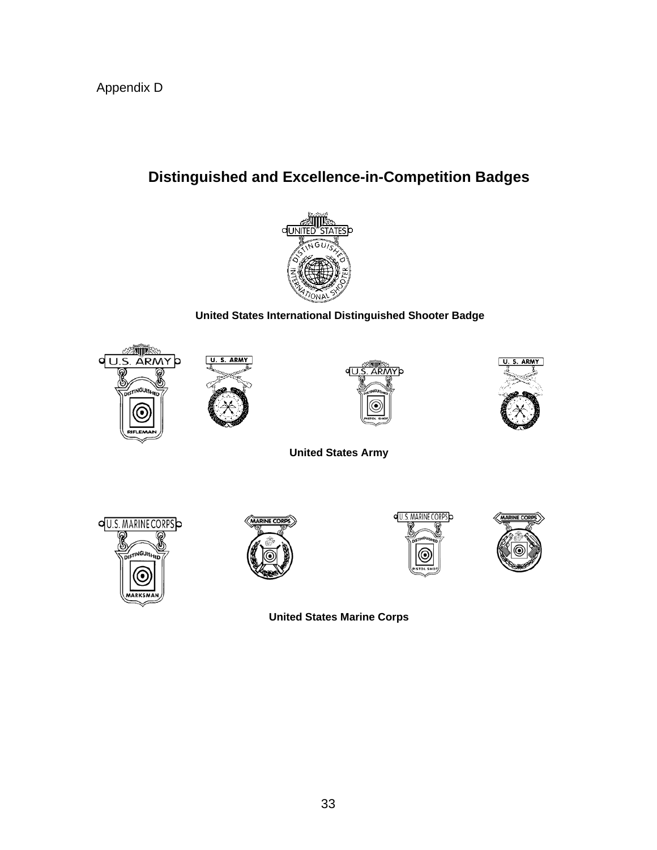# **Distinguished and Excellence-in-Competition Badges**



# **United States International Distinguished Shooter Badge**









**United States Army** 









**United States Marine Corps**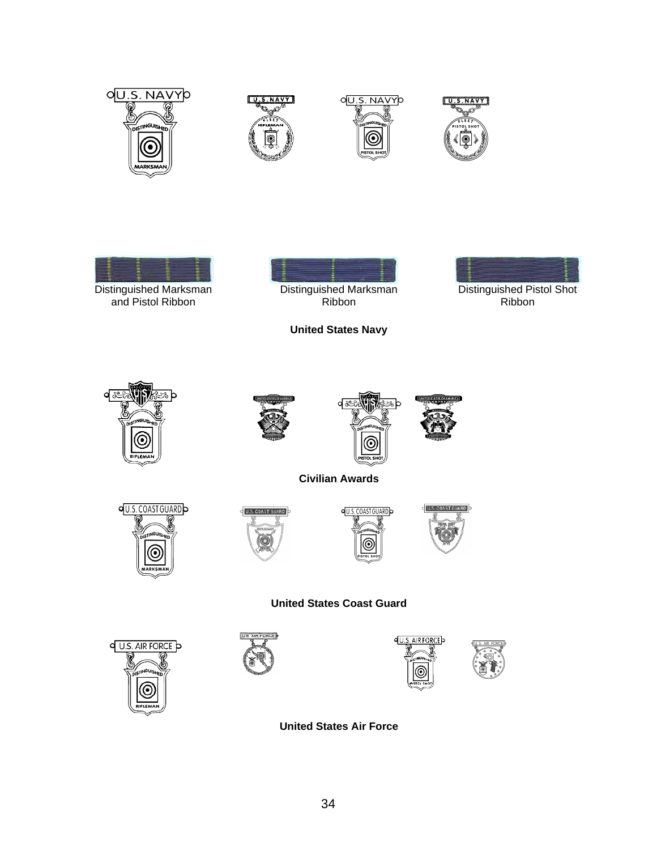









and Pistol Ribbon



**United States Navy** 

d



Ribbon







**Civilian Awards** 









## **United States Coast Guard**









**United States Air Force**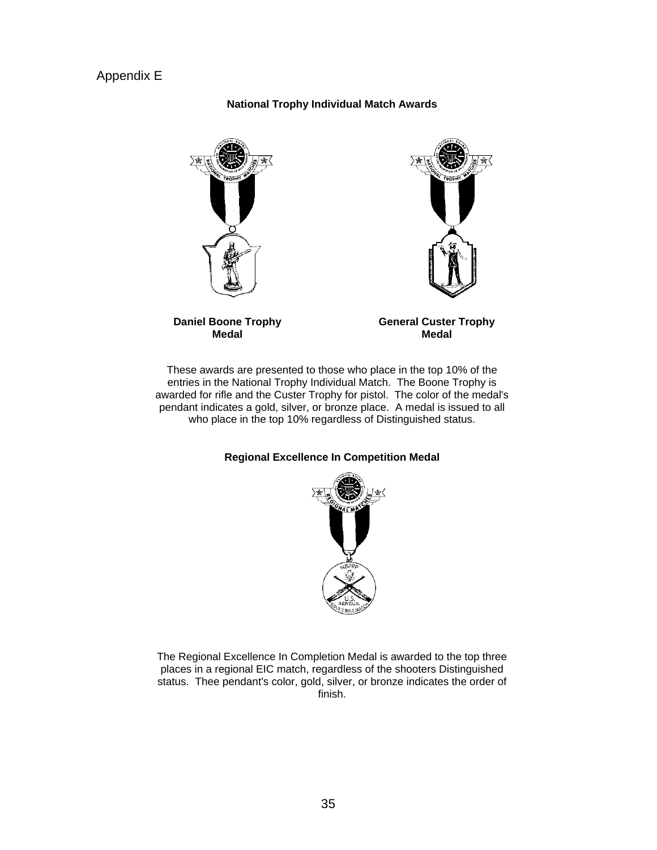## Appendix E

## **National Trophy Individual Match Awards**







**General Custer Trophy Medal** 

These awards are presented to those who place in the top 10% of the entries in the National Trophy Individual Match. The Boone Trophy is awarded for rifle and the Custer Trophy for pistol. The color of the medal's pendant indicates a gold, silver, or bronze place. A medal is issued to all who place in the top 10% regardless of Distinguished status.

## **Regional Excellence In Competition Medal**



The Regional Excellence In Completion Medal is awarded to the top three places in a regional EIC match, regardless of the shooters Distinguished status. Thee pendant's color, gold, silver, or bronze indicates the order of finish.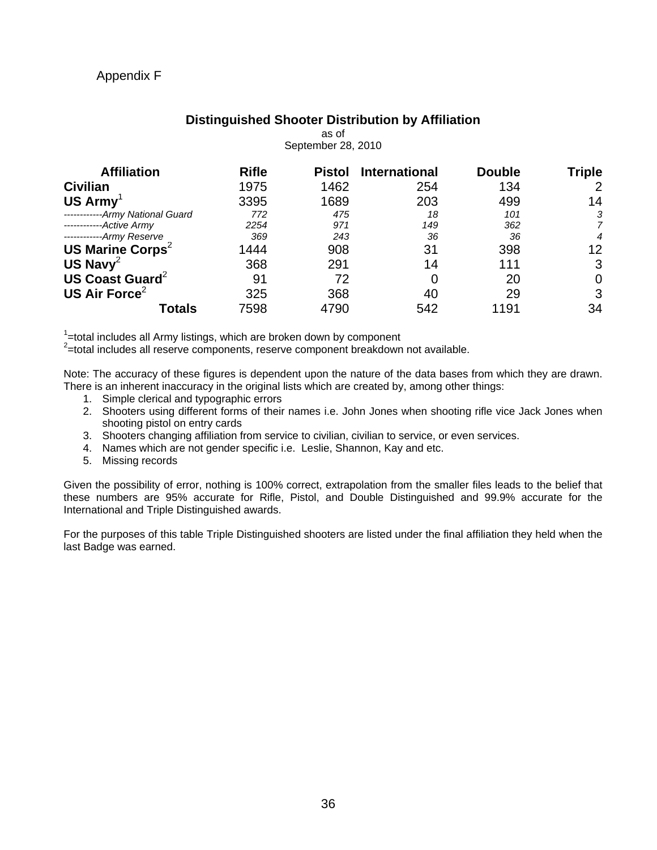# Appendix F

### **Distinguished Shooter Distribution by Affiliation**  as of

| September 28, 2010              |              |               |                      |               |                |
|---------------------------------|--------------|---------------|----------------------|---------------|----------------|
| <b>Affiliation</b>              | <b>Rifle</b> | <b>Pistol</b> | <b>International</b> | <b>Double</b> | <b>Triple</b>  |
| <b>Civilian</b>                 | 1975         | 1462          | 254                  | 134           | $\overline{2}$ |
| US Army <sup>1</sup>            | 3395         | 1689          | 203                  | 499           | 14             |
| ------------Army National Guard | 772          | 475           | 18                   | 101           | 3              |
| ------------Active Army         | 2254         | 971           | 149                  | 362           | 7              |
| ------------Army Reserve        | 369          | 243           | 36                   | 36            | $\overline{4}$ |
| US Marine Corps <sup>2</sup>    | 1444         | 908           | 31                   | 398           | 12             |
| US Navy <sup>2</sup>            | 368          | 291           | 14                   | 111           | 3              |
| US Coast Guard <sup>2</sup>     | 91           | 72            |                      | 20            | 0              |
| US Air Force <sup>2</sup>       | 325          | 368           | 40                   | 29            | 3              |
| Totals                          | 7598         | 4790          | 542                  | 1191          | 34             |

 $1$ =total includes all Army listings, which are broken down by component

 $2$ =total includes all reserve components, reserve component breakdown not available.

Note: The accuracy of these figures is dependent upon the nature of the data bases from which they are drawn. There is an inherent inaccuracy in the original lists which are created by, among other things:

- 1. Simple clerical and typographic errors
- 2. Shooters using different forms of their names i.e. John Jones when shooting rifle vice Jack Jones when shooting pistol on entry cards
- 3. Shooters changing affiliation from service to civilian, civilian to service, or even services.
- 4. Names which are not gender specific i.e. Leslie, Shannon, Kay and etc.
- 5. Missing records

Given the possibility of error, nothing is 100% correct, extrapolation from the smaller files leads to the belief that these numbers are 95% accurate for Rifle, Pistol, and Double Distinguished and 99.9% accurate for the International and Triple Distinguished awards.

For the purposes of this table Triple Distinguished shooters are listed under the final affiliation they held when the last Badge was earned.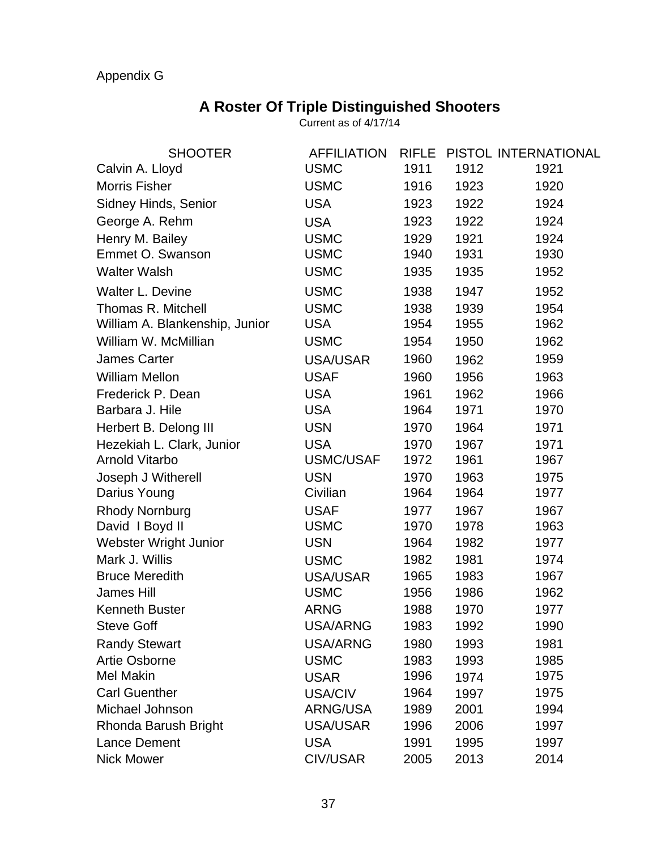# Appendix G

# **A Roster Of Triple Distinguished Shooters**

Current as of 4/17/14

| <b>SHOOTER</b>                 | <b>AFFILIATION</b> | <b>RIFLE</b> |      | PISTOL INTERNATIONAL |
|--------------------------------|--------------------|--------------|------|----------------------|
| Calvin A. Lloyd                | <b>USMC</b>        | 1911         | 1912 | 1921                 |
| <b>Morris Fisher</b>           | <b>USMC</b>        | 1916         | 1923 | 1920                 |
| Sidney Hinds, Senior           | <b>USA</b>         | 1923         | 1922 | 1924                 |
| George A. Rehm                 | <b>USA</b>         | 1923         | 1922 | 1924                 |
| Henry M. Bailey                | <b>USMC</b>        | 1929         | 1921 | 1924                 |
| Emmet O. Swanson               | <b>USMC</b>        | 1940         | 1931 | 1930                 |
| <b>Walter Walsh</b>            | <b>USMC</b>        | 1935         | 1935 | 1952                 |
| Walter L. Devine               | <b>USMC</b>        | 1938         | 1947 | 1952                 |
| Thomas R. Mitchell             | <b>USMC</b>        | 1938         | 1939 | 1954                 |
| William A. Blankenship, Junior | <b>USA</b>         | 1954         | 1955 | 1962                 |
| William W. McMillian           | <b>USMC</b>        | 1954         | 1950 | 1962                 |
| James Carter                   | <b>USA/USAR</b>    | 1960         | 1962 | 1959                 |
| <b>William Mellon</b>          | <b>USAF</b>        | 1960         | 1956 | 1963                 |
| Frederick P. Dean              | <b>USA</b>         | 1961         | 1962 | 1966                 |
| Barbara J. Hile                | <b>USA</b>         | 1964         | 1971 | 1970                 |
| Herbert B. Delong III          | <b>USN</b>         | 1970         | 1964 | 1971                 |
| Hezekiah L. Clark, Junior      | <b>USA</b>         | 1970         | 1967 | 1971                 |
| <b>Arnold Vitarbo</b>          | <b>USMC/USAF</b>   | 1972         | 1961 | 1967                 |
| Joseph J Witherell             | <b>USN</b>         | 1970         | 1963 | 1975                 |
| Darius Young                   | Civilian           | 1964         | 1964 | 1977                 |
| <b>Rhody Nornburg</b>          | <b>USAF</b>        | 1977         | 1967 | 1967                 |
| David I Boyd II                | <b>USMC</b>        | 1970         | 1978 | 1963                 |
| Webster Wright Junior          | <b>USN</b>         | 1964         | 1982 | 1977                 |
| Mark J. Willis                 | <b>USMC</b>        | 1982         | 1981 | 1974                 |
| <b>Bruce Meredith</b>          | <b>USA/USAR</b>    | 1965         | 1983 | 1967                 |
| <b>James Hill</b>              | <b>USMC</b>        | 1956         | 1986 | 1962                 |
| <b>Kenneth Buster</b>          | <b>ARNG</b>        | 1988         | 1970 | 1977                 |
| <b>Steve Goff</b>              | <b>USA/ARNG</b>    | 1983         | 1992 | 1990                 |
| <b>Randy Stewart</b>           | USA/ARNG           | 1980         | 1993 | 1981                 |
| Artie Osborne                  | <b>USMC</b>        | 1983         | 1993 | 1985                 |
| <b>Mel Makin</b>               | <b>USAR</b>        | 1996         | 1974 | 1975                 |
| <b>Carl Guenther</b>           | USA/CIV            | 1964         | 1997 | 1975                 |
| Michael Johnson                | ARNG/USA           | 1989         | 2001 | 1994                 |
| Rhonda Barush Bright           | USA/USAR           | 1996         | 2006 | 1997                 |
| <b>Lance Dement</b>            | <b>USA</b>         | 1991         | 1995 | 1997                 |
| <b>Nick Mower</b>              | CIV/USAR           | 2005         | 2013 | 2014                 |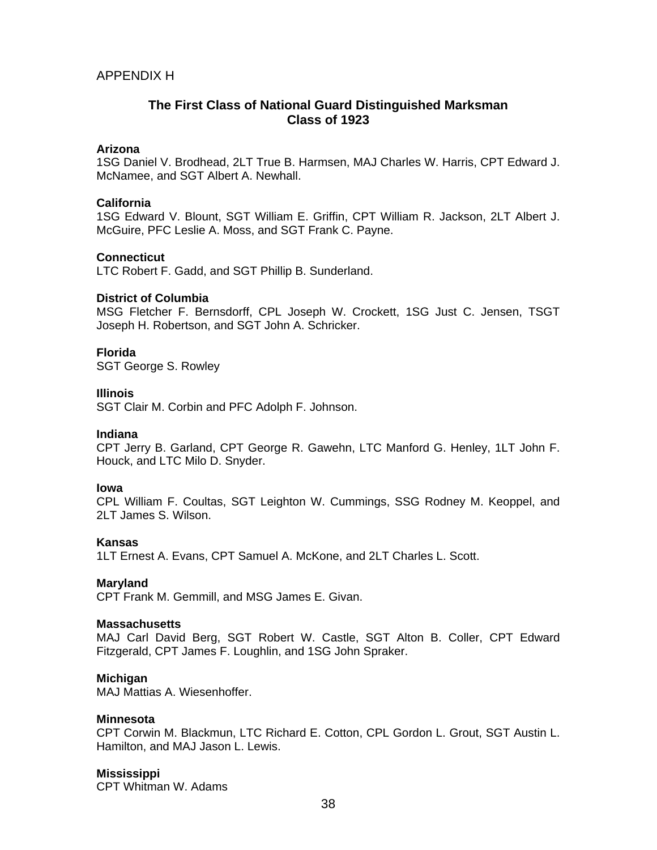## APPENDIX H

## **The First Class of National Guard Distinguished Marksman Class of 1923**

## **Arizona**

1SG Daniel V. Brodhead, 2LT True B. Harmsen, MAJ Charles W. Harris, CPT Edward J. McNamee, and SGT Albert A. Newhall.

## **California**

1SG Edward V. Blount, SGT William E. Griffin, CPT William R. Jackson, 2LT Albert J. McGuire, PFC Leslie A. Moss, and SGT Frank C. Payne.

## **Connecticut**

LTC Robert F. Gadd, and SGT Phillip B. Sunderland.

## **District of Columbia**

MSG Fletcher F. Bernsdorff, CPL Joseph W. Crockett, 1SG Just C. Jensen, TSGT Joseph H. Robertson, and SGT John A. Schricker.

## **Florida**

SGT George S. Rowley

## **Illinois**

SGT Clair M. Corbin and PFC Adolph F. Johnson.

## **Indiana**

CPT Jerry B. Garland, CPT George R. Gawehn, LTC Manford G. Henley, 1LT John F. Houck, and LTC Milo D. Snyder.

## **Iowa**

CPL William F. Coultas, SGT Leighton W. Cummings, SSG Rodney M. Keoppel, and 2LT James S. Wilson.

## **Kansas**

1LT Ernest A. Evans, CPT Samuel A. McKone, and 2LT Charles L. Scott.

## **Maryland**

CPT Frank M. Gemmill, and MSG James E. Givan.

## **Massachusetts**

MAJ Carl David Berg, SGT Robert W. Castle, SGT Alton B. Coller, CPT Edward Fitzgerald, CPT James F. Loughlin, and 1SG John Spraker.

## **Michigan**

MAJ Mattias A. Wiesenhoffer.

## **Minnesota**

CPT Corwin M. Blackmun, LTC Richard E. Cotton, CPL Gordon L. Grout, SGT Austin L. Hamilton, and MAJ Jason L. Lewis.

## **Mississippi**

CPT Whitman W. Adams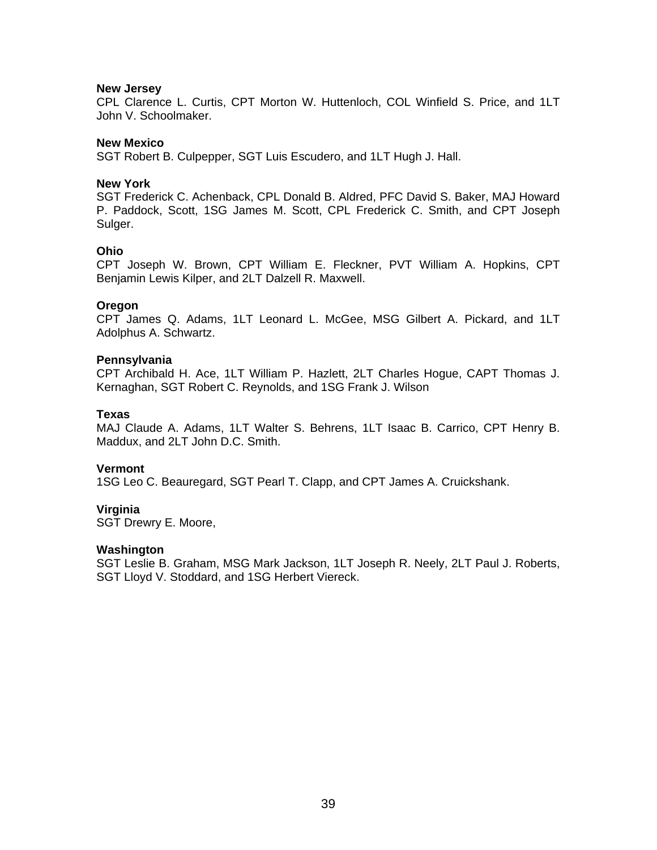## **New Jersey**

CPL Clarence L. Curtis, CPT Morton W. Huttenloch, COL Winfield S. Price, and 1LT John V. Schoolmaker.

## **New Mexico**

SGT Robert B. Culpepper, SGT Luis Escudero, and 1LT Hugh J. Hall.

## **New York**

SGT Frederick C. Achenback, CPL Donald B. Aldred, PFC David S. Baker, MAJ Howard P. Paddock, Scott, 1SG James M. Scott, CPL Frederick C. Smith, and CPT Joseph Sulger.

## **Ohio**

CPT Joseph W. Brown, CPT William E. Fleckner, PVT William A. Hopkins, CPT Benjamin Lewis Kilper, and 2LT Dalzell R. Maxwell.

## **Oregon**

CPT James Q. Adams, 1LT Leonard L. McGee, MSG Gilbert A. Pickard, and 1LT Adolphus A. Schwartz.

## **Pennsylvania**

CPT Archibald H. Ace, 1LT William P. Hazlett, 2LT Charles Hogue, CAPT Thomas J. Kernaghan, SGT Robert C. Reynolds, and 1SG Frank J. Wilson

## **Texas**

MAJ Claude A. Adams, 1LT Walter S. Behrens, 1LT Isaac B. Carrico, CPT Henry B. Maddux, and 2LT John D.C. Smith.

## **Vermont**

1SG Leo C. Beauregard, SGT Pearl T. Clapp, and CPT James A. Cruickshank.

## **Virginia**

SGT Drewry E. Moore,

## **Washington**

SGT Leslie B. Graham, MSG Mark Jackson, 1LT Joseph R. Neely, 2LT Paul J. Roberts, SGT Lloyd V. Stoddard, and 1SG Herbert Viereck.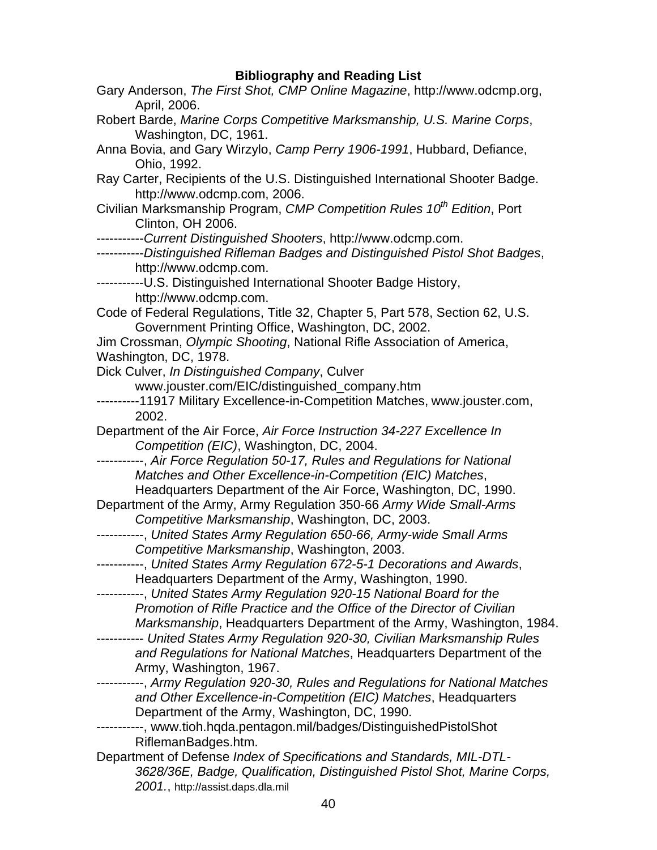# **Bibliography and Reading List**

| Gary Anderson, The First Shot, CMP Online Magazine, http://www.odcmp.org,                                    |
|--------------------------------------------------------------------------------------------------------------|
| April, 2006.                                                                                                 |
| Robert Barde, Marine Corps Competitive Marksmanship, U.S. Marine Corps,<br>Washington, DC, 1961.             |
|                                                                                                              |
| Anna Bovia, and Gary Wirzylo, Camp Perry 1906-1991, Hubbard, Defiance,<br>Ohio, 1992.                        |
| Ray Carter, Recipients of the U.S. Distinguished International Shooter Badge.<br>http://www.odcmp.com, 2006. |
| Civilian Marksmanship Program, CMP Competition Rules 10 <sup>th</sup> Edition, Port<br>Clinton, OH 2006.     |
| -----------Current Distinguished Shooters, http://www.odcmp.com.                                             |
| -----------Distinguished Rifleman Badges and Distinguished Pistol Shot Badges,                               |
|                                                                                                              |
| http://www.odcmp.com.                                                                                        |
| -----------U.S. Distinguished International Shooter Badge History,                                           |
| http://www.odcmp.com.                                                                                        |
| Code of Federal Regulations, Title 32, Chapter 5, Part 578, Section 62, U.S.                                 |
| Government Printing Office, Washington, DC, 2002.                                                            |
| Jim Crossman, Olympic Shooting, National Rifle Association of America,                                       |
| Washington, DC, 1978.                                                                                        |
| Dick Culver, In Distinguished Company, Culver                                                                |
| www.jouster.com/EIC/distinguished_company.htm                                                                |
| ---------11917 Military Excellence-in-Competition Matches, www.jouster.com,                                  |
| 2002.                                                                                                        |
| Department of the Air Force, Air Force Instruction 34-227 Excellence In                                      |
| Competition (EIC), Washington, DC, 2004.                                                                     |
| ----------, Air Force Regulation 50-17, Rules and Regulations for National                                   |
| Matches and Other Excellence-in-Competition (EIC) Matches,                                                   |
| Headquarters Department of the Air Force, Washington, DC, 1990.                                              |
| Department of the Army, Army Regulation 350-66 Army Wide Small-Arms                                          |
|                                                                                                              |
| Competitive Marksmanship, Washington, DC, 2003.                                                              |
| ----------, United States Army Regulation 650-66, Army-wide Small Arms                                       |
| Competitive Marksmanship, Washington, 2003.                                                                  |
| ----------, United States Army Regulation 672-5-1 Decorations and Awards,                                    |
| Headquarters Department of the Army, Washington, 1990.                                                       |
| --, United States Army Regulation 920-15 National Board for the<br>--------                                  |
| Promotion of Rifle Practice and the Office of the Director of Civilian                                       |
| Marksmanship, Headquarters Department of the Army, Washington, 1984.                                         |
| --------- United States Army Regulation 920-30, Civilian Marksmanship Rules                                  |
| and Regulations for National Matches, Headquarters Department of the                                         |
| Army, Washington, 1967.                                                                                      |
| -----------, Army Regulation 920-30, Rules and Regulations for National Matches                              |
| and Other Excellence-in-Competition (EIC) Matches, Headquarters                                              |
| Department of the Army, Washington, DC, 1990.                                                                |
| ---------, www.tioh.hqda.pentagon.mil/badges/DistinguishedPistolShot                                         |
| RiflemanBadges.htm.                                                                                          |
| Department of Defense Index of Specifications and Standards, MIL-DTL-                                        |
| 3628/36E, Badge, Qualification, Distinguished Pistol Shot, Marine Corps,                                     |
|                                                                                                              |
| 2001., http://assist.daps.dla.mil                                                                            |